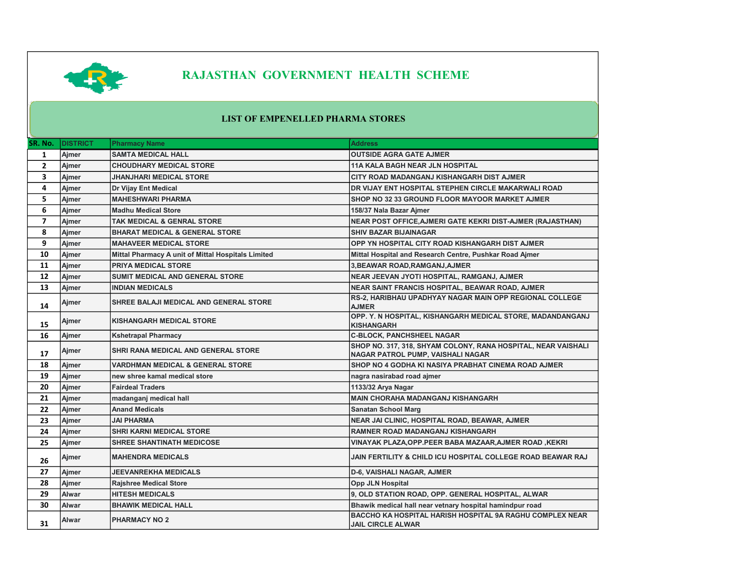

## RAJASTHAN GOVERNMENT HEALTH SCHEME

## LIST OF EMPENELLED PHARMA STORES

| SR. No.                 | <b>DISTRICT</b> | <b>Pharmacy Name</b>                               | <b>Address</b>                                                                                     |
|-------------------------|-----------------|----------------------------------------------------|----------------------------------------------------------------------------------------------------|
| 1                       | Ajmer           | <b>SAMTA MEDICAL HALL</b>                          | <b>OUTSIDE AGRA GATE AJMER</b>                                                                     |
| 2                       | Ajmer           | <b>CHOUDHARY MEDICAL STORE</b>                     | <b>11A KALA BAGH NEAR JLN HOSPITAL</b>                                                             |
| 3                       | Ajmer           | JHANJHARI MEDICAL STORE                            | CITY ROAD MADANGANJ KISHANGARH DIST AJMER                                                          |
| 4                       | Aimer           | <b>Dr Vijay Ent Medical</b>                        | DR VIJAY ENT HOSPITAL STEPHEN CIRCLE MAKARWALI ROAD                                                |
| 5                       | Aimer           | <b>MAHESHWARI PHARMA</b>                           | <b>SHOP NO 32 33 GROUND FLOOR MAYOOR MARKET AJMER</b>                                              |
| 6                       | Ajmer           | <b>Madhu Medical Store</b>                         | 158/37 Nala Bazar Ajmer                                                                            |
| $\overline{\mathbf{z}}$ | Ajmer           | <b>TAK MEDICAL &amp; GENRAL STORE</b>              | NEAR POST OFFICE, AJMERI GATE KEKRI DIST-AJMER (RAJASTHAN)                                         |
| 8                       | Ajmer           | <b>BHARAT MEDICAL &amp; GENERAL STORE</b>          | <b>SHIV BAZAR BIJAINAGAR</b>                                                                       |
| 9                       | Aimer           | <b>MAHAVEER MEDICAL STORE</b>                      | OPP YN HOSPITAL CITY ROAD KISHANGARH DIST AJMER                                                    |
| 10                      | Ajmer           | Mittal Pharmacy A unit of Mittal Hospitals Limited | Mittal Hospital and Research Centre, Pushkar Road Ajmer                                            |
| 11                      | Aimer           | <b>PRIYA MEDICAL STORE</b>                         | 3, BEAWAR ROAD, RAMGANJ, AJMER                                                                     |
| 12                      | Ajmer           | <b>SUMIT MEDICAL AND GENERAL STORE</b>             | NEAR JEEVAN JYOTI HOSPITAL, RAMGANJ, AJMER                                                         |
| 13                      | Aimer           | <b>INDIAN MEDICALS</b>                             | NEAR SAINT FRANCIS HOSPITAL, BEAWAR ROAD, AJMER                                                    |
| 14                      | Aimer           | SHREE BALAJI MEDICAL AND GENERAL STORE             | RS-2, HARIBHAU UPADHYAY NAGAR MAIN OPP REGIONAL COLLEGE<br><b>AJMER</b>                            |
| 15                      | Ajmer           | <b>KISHANGARH MEDICAL STORE</b>                    | OPP. Y. N HOSPITAL, KISHANGARH MEDICAL STORE, MADANDANGANJ<br><b>KISHANGARH</b>                    |
| 16                      | Aimer           | <b>Kshetrapal Pharmacy</b>                         | <b>C-BLOCK, PANCHSHEEL NAGAR</b>                                                                   |
| 17                      | Ajmer           | SHRI RANA MEDICAL AND GENERAL STORE                | SHOP NO. 317, 318, SHYAM COLONY, RANA HOSPITAL, NEAR VAISHALI<br>NAGAR PATROL PUMP, VAISHALI NAGAR |
| 18                      | Ajmer           | <b>VARDHMAN MEDICAL &amp; GENERAL STORE</b>        | SHOP NO 4 GODHA KI NASIYA PRABHAT CINEMA ROAD AJMER                                                |
| 19                      | Aimer           | new shree kamal medical store                      | nagra nasirabad road ajmer                                                                         |
| 20                      | Aimer           | <b>Fairdeal Traders</b>                            | 1133/32 Arya Nagar                                                                                 |
| 21                      | Ajmer           | madanganj medical hall                             | <b>MAIN CHORAHA MADANGANJ KISHANGARH</b>                                                           |
| 22                      | Ajmer           | <b>Anand Medicals</b>                              | Sanatan School Marg                                                                                |
| 23                      | Ajmer           | <b>JAI PHARMA</b>                                  | NEAR JAI CLINIC, HOSPITAL ROAD, BEAWAR, AJMER                                                      |
| 24                      | Ajmer           | <b>SHRI KARNI MEDICAL STORE</b>                    | <b>RAMNER ROAD MADANGANJ KISHANGARH</b>                                                            |
| 25                      | Ajmer           | <b>SHREE SHANTINATH MEDICOSE</b>                   | VINAYAK PLAZA, OPP. PEER BABA MAZAAR, AJMER ROAD, KEKRI                                            |
| 26                      | Ajmer           | <b>MAHENDRA MEDICALS</b>                           | JAIN FERTILITY & CHILD ICU HOSPITAL COLLEGE ROAD BEAWAR RAJ                                        |
| 27                      | Ajmer           | <b>JEEVANREKHA MEDICALS</b>                        | D-6, VAISHALI NAGAR, AJMER                                                                         |
| 28                      | Ajmer           | <b>Rajshree Medical Store</b>                      | Opp JLN Hospital                                                                                   |
| 29                      | Alwar           | <b>HITESH MEDICALS</b>                             | 9, OLD STATION ROAD, OPP. GENERAL HOSPITAL, ALWAR                                                  |
| 30                      | Alwar           | <b>BHAWIK MEDICAL HALL</b>                         | Bhawik medical hall near vetnary hospital hamindpur road                                           |
| 31                      | Alwar           | <b>PHARMACY NO 2</b>                               | BACCHO KA HOSPITAL HARISH HOSPITAL 9A RAGHU COMPLEX NEAR<br><b>JAIL CIRCLE ALWAR</b>               |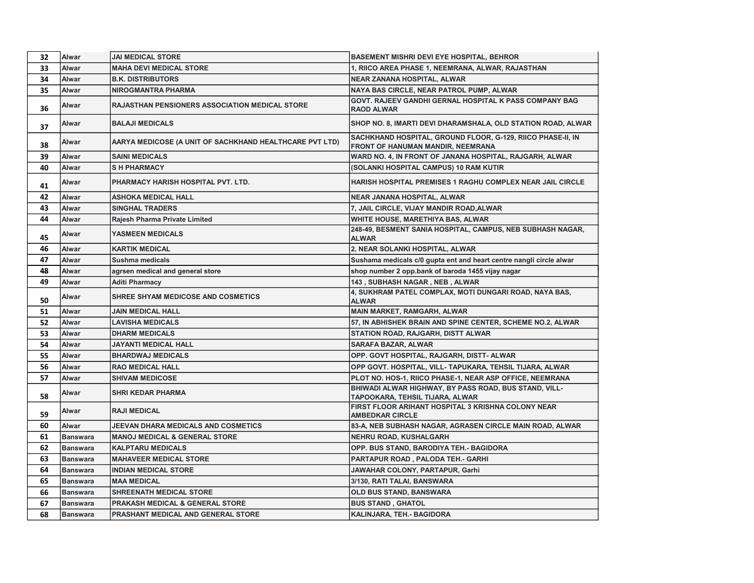| 32 | Alwar           | <b>JAI MEDICAL STORE</b>                                | <b>BASEMENT MISHRI DEVI EYE HOSPITAL, BEHROR</b>                                                 |
|----|-----------------|---------------------------------------------------------|--------------------------------------------------------------------------------------------------|
| 33 | Alwar           | <b>MAHA DEVI MEDICAL STORE</b>                          | 1, RIICO AREA PHASE 1, NEEMRANA, ALWAR, RAJASTHAN                                                |
| 34 | Alwar           | <b>B.K. DISTRIBUTORS</b>                                | <b>NEAR ZANANA HOSPITAL, ALWAR</b>                                                               |
| 35 | Alwar           | <b>NIROGMANTRA PHARMA</b>                               | NAYA BAS CIRCLE, NEAR PATROL PUMP, ALWAR                                                         |
| 36 | Alwar           | <b>RAJASTHAN PENSIONERS ASSOCIATION MEDICAL STORE</b>   | GOVT. RAJEEV GANDHI GERNAL HOSPITAL K PASS COMPANY BAG<br><b>RAOD ALWAR</b>                      |
| 37 | Alwar           | <b>BALAJI MEDICALS</b>                                  | SHOP NO. 8, IMARTI DEVI DHARAMSHALA, OLD STATION ROAD, ALWAR                                     |
| 38 | Alwar           | AARYA MEDICOSE (A UNIT OF SACHKHAND HEALTHCARE PVT LTD) | SACHKHAND HOSPITAL, GROUND FLOOR, G-129, RIICO PHASE-II, IN<br>FRONT OF HANUMAN MANDIR, NEEMRANA |
| 39 | Alwar           | <b>SAINI MEDICALS</b>                                   | WARD NO. 4, IN FRONT OF JANANA HOSPITAL, RAJGARH, ALWAR                                          |
| 40 | Alwar           | <b>SH PHARMACY</b>                                      | (SOLANKI HOSPITAL CAMPUS) 10 RAM KUTIR                                                           |
| 41 | Alwar           | PHARMACY HARISH HOSPITAL PVT. LTD.                      | HARISH HOSPITAL PREMISES 1 RAGHU COMPLEX NEAR JAIL CIRCLE                                        |
| 42 | Alwar           | <b>ASHOKA MEDICAL HALL</b>                              | <b>NEAR JANANA HOSPITAL, ALWAR</b>                                                               |
| 43 | Alwar           | <b>SINGHAL TRADERS</b>                                  | 7, JAIL CIRCLE, VIJAY MANDIR ROAD,ALWAR                                                          |
| 44 | Alwar           | Rajesh Pharma Private Limited                           | WHITE HOUSE, MARETHIYA BAS, ALWAR                                                                |
| 45 | Alwar           | <b>YASMEEN MEDICALS</b>                                 | 248-49, BESMENT SANIA HOSPITAL, CAMPUS, NEB SUBHASH NAGAR,<br><b>ALWAR</b>                       |
| 46 | Alwar           | <b>KARTIK MEDICAL</b>                                   | 2, NEAR SOLANKI HOSPITAL, ALWAR                                                                  |
| 47 | Alwar           | <b>Sushma medicals</b>                                  | Sushama medicals c/0 gupta ent and heart centre nangli circle alwar                              |
| 48 | Alwar           | agrsen medical and general store                        | shop number 2 opp.bank of baroda 1455 vijay nagar                                                |
| 49 | Alwar           | <b>Aditi Pharmacy</b>                                   | 143, SUBHASH NAGAR, NEB, ALWAR                                                                   |
| 50 | Alwar           | SHREE SHYAM MEDICOSE AND COSMETICS                      | 4, SUKHRAM PATEL COMPLAX, MOTI DUNGARI ROAD, NAYA BAS,<br>ALWAR                                  |
| 51 | Alwar           | <b>JAIN MEDICAL HALL</b>                                | <b>MAIN MARKET, RAMGARH, ALWAR</b>                                                               |
| 52 | Alwar           | <b>LAVISHA MEDICALS</b>                                 | 57, IN ABHISHEK BRAIN AND SPINE CENTER, SCHEME NO.2, ALWAR                                       |
| 53 | Alwar           | <b>DHARM MEDICALS</b>                                   | STATION ROAD, RAJGARH, DISTT ALWAR                                                               |
| 54 | Alwar           | <b>JAYANTI MEDICAL HALL</b>                             | <b>SARAFA BAZAR, ALWAR</b>                                                                       |
| 55 | Alwar           | <b>BHARDWAJ MEDICALS</b>                                | OPP. GOVT HOSPITAL, RAJGARH, DISTT- ALWAR                                                        |
| 56 | Alwar           | <b>RAO MEDICAL HALL</b>                                 | OPP GOVT. HOSPITAL, VILL- TAPUKARA, TEHSIL TIJARA, ALWAR                                         |
| 57 | Alwar           | <b>SHIVAM MEDICOSE</b>                                  | PLOT NO. HOS-1, RIICO PHASE-1, NEAR ASP OFFICE, NEEMRANA                                         |
| 58 | Alwar           | <b>SHRI KEDAR PHARMA</b>                                | BHIWADI ALWAR HIGHWAY, BY PASS ROAD, BUS STAND, VILL-<br>TAPOOKARA, TEHSIL TIJARA, ALWAR         |
| 59 | Alwar           | <b>RAJI MEDICAL</b>                                     | FIRST FLOOR ARIHANT HOSPITAL 3 KRISHNA COLONY NEAR<br><b>AMBEDKAR CIRCLE</b>                     |
| 60 | Alwar           | JEEVAN DHARA MEDICALS AND COSMETICS                     | 83-A, NEB SUBHASH NAGAR, AGRASEN CIRCLE MAIN ROAD, ALWAR                                         |
| 61 | <b>Banswara</b> | <b>MANOJ MEDICAL &amp; GENERAL STORE</b>                | <b>NEHRU ROAD, KUSHALGARH</b>                                                                    |
| 62 | <b>Banswara</b> | <b>KALPTARU MEDICALS</b>                                | OPP. BUS STAND, BARODIYA TEH.- BAGIDORA                                                          |
| 63 | <b>Banswara</b> | <b>MAHAVEER MEDICAL STORE</b>                           | PARTAPUR ROAD, PALODA TEH.- GARHI                                                                |
| 64 | <b>Banswara</b> | <b>INDIAN MEDICAL STORE</b>                             | JAWAHAR COLONY, PARTAPUR, Garhi                                                                  |
| 65 | <b>Banswara</b> | <b>MAA MEDICAL</b>                                      | 3/130, RATI TALAI, BANSWARA                                                                      |
| 66 | <b>Banswara</b> | <b>SHREENATH MEDICAL STORE</b>                          | OLD BUS STAND, BANSWARA                                                                          |
| 67 | <b>Banswara</b> | <b>PRAKASH MEDICAL &amp; GENERAL STORE</b>              | <b>BUS STAND, GHATOL</b>                                                                         |
| 68 | <b>Banswara</b> | <b>PRASHANT MEDICAL AND GENERAL STORE</b>               | KALINJARA, TEH.- BAGIDORA                                                                        |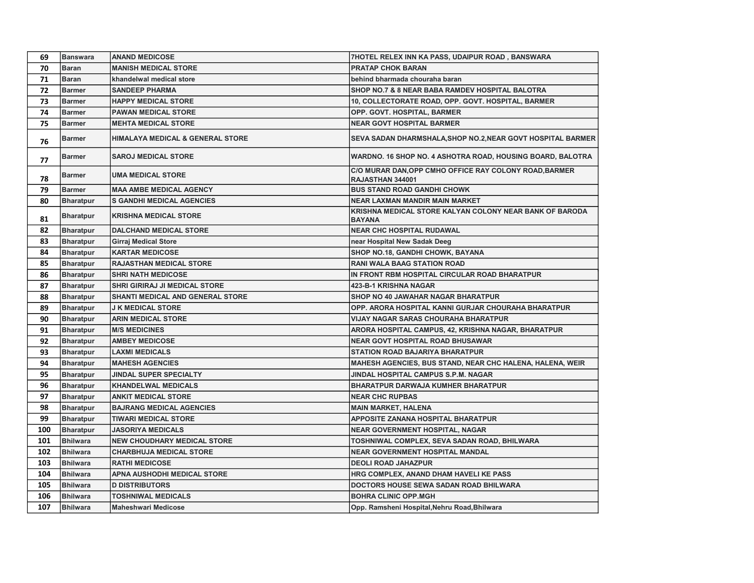| 69  | <b>Banswara</b>  | <b>ANAND MEDICOSE</b>                | 7HOTEL RELEX INN KA PASS, UDAIPUR ROAD, BANSWARA                           |
|-----|------------------|--------------------------------------|----------------------------------------------------------------------------|
| 70  | <b>Baran</b>     | <b>MANISH MEDICAL STORE</b>          | <b>PRATAP CHOK BARAN</b>                                                   |
| 71  | <b>Baran</b>     | khandelwal medical store             | behind bharmada chouraha baran                                             |
| 72  | <b>Barmer</b>    | <b>SANDEEP PHARMA</b>                | SHOP NO.7 & 8 NEAR BABA RAMDEV HOSPITAL BALOTRA                            |
| 73  | <b>Barmer</b>    | <b>HAPPY MEDICAL STORE</b>           | 10, COLLECTORATE ROAD, OPP. GOVT. HOSPITAL, BARMER                         |
| 74  | <b>Barmer</b>    | <b>PAWAN MEDICAL STORE</b>           | OPP. GOVT. HOSPITAL, BARMER                                                |
| 75  | <b>Barmer</b>    | <b>MEHTA MEDICAL STORE</b>           | <b>NEAR GOVT HOSPITAL BARMER</b>                                           |
| 76  | <b>Barmer</b>    | HIMALAYA MEDICAL & GENERAL STORE     | SEVA SADAN DHARMSHALA, SHOP NO.2, NEAR GOVT HOSPITAL BARMER                |
| 77  | <b>Barmer</b>    | <b>SAROJ MEDICAL STORE</b>           | WARDNO. 16 SHOP NO. 4 ASHOTRA ROAD, HOUSING BOARD, BALOTRA                 |
| 78  | <b>Barmer</b>    | <b>UMA MEDICAL STORE</b>             | C/O MURAR DAN, OPP CMHO OFFICE RAY COLONY ROAD, BARMER<br>RAJASTHAN 344001 |
| 79  | <b>Barmer</b>    | <b>MAA AMBE MEDICAL AGENCY</b>       | <b>BUS STAND ROAD GANDHI CHOWK</b>                                         |
| 80  | <b>Bharatpur</b> | <b>S GANDHI MEDICAL AGENCIES</b>     | <b>NEAR LAXMAN MANDIR MAIN MARKET</b>                                      |
| 81  | <b>Bharatpur</b> | <b>KRISHNA MEDICAL STORE</b>         | KRISHNA MEDICAL STORE KALYAN COLONY NEAR BANK OF BARODA<br><b>BAYANA</b>   |
| 82  | <b>Bharatpur</b> | <b>DALCHAND MEDICAL STORE</b>        | <b>NEAR CHC HOSPITAL RUDAWAL</b>                                           |
| 83  | <b>Bharatpur</b> | <b>Girraj Medical Store</b>          | near Hospital New Sadak Deeg                                               |
| 84  | <b>Bharatpur</b> | <b>KARTAR MEDICOSE</b>               | SHOP NO.18, GANDHI CHOWK, BAYANA                                           |
| 85  | <b>Bharatpur</b> | <b>RAJASTHAN MEDICAL STORE</b>       | <b>RANI WALA BAAG STATION ROAD</b>                                         |
| 86  | <b>Bharatpur</b> | <b>SHRI NATH MEDICOSE</b>            | IN FRONT RBM HOSPITAL CIRCULAR ROAD BHARATPUR                              |
| 87  | <b>Bharatpur</b> | <b>SHRI GIRIRAJ JI MEDICAL STORE</b> | 423-B-1 KRISHNA NAGAR                                                      |
| 88  | <b>Bharatpur</b> | SHANTI MEDICAL AND GENERAL STORE     | SHOP NO 40 JAWAHAR NAGAR BHARATPUR                                         |
| 89  | <b>Bharatpur</b> | <b>J K MEDICAL STORE</b>             | OPP. ARORA HOSPITAL KANNI GURJAR CHOURAHA BHARATPUR                        |
| 90  | <b>Bharatpur</b> | <b>ARIN MEDICAL STORE</b>            | VIJAY NAGAR SARAS CHOURAHA BHARATPUR                                       |
| 91  | <b>Bharatpur</b> | <b>M/S MEDICINES</b>                 | ARORA HOSPITAL CAMPUS, 42, KRISHNA NAGAR, BHARATPUR                        |
| 92  | <b>Bharatpur</b> | <b>AMBEY MEDICOSE</b>                | <b>NEAR GOVT HOSPITAL ROAD BHUSAWAR</b>                                    |
| 93  | <b>Bharatpur</b> | <b>LAXMI MEDICALS</b>                | <b>STATION ROAD BAJARIYA BHARATPUR</b>                                     |
| 94  | <b>Bharatpur</b> | <b>MAHESH AGENCIES</b>               | MAHESH AGENCIES, BUS STAND, NEAR CHC HALENA, HALENA, WEIR                  |
| 95  | <b>Bharatpur</b> | <b>JINDAL SUPER SPECIALTY</b>        | JINDAL HOSPITAL CAMPUS S.P.M. NAGAR                                        |
| 96  | <b>Bharatpur</b> | <b>KHANDELWAL MEDICALS</b>           | <b>BHARATPUR DARWAJA KUMHER BHARATPUR</b>                                  |
| 97  | <b>Bharatpur</b> | <b>ANKIT MEDICAL STORE</b>           | <b>NEAR CHC RUPBAS</b>                                                     |
| 98  | <b>Bharatpur</b> | <b>BAJRANG MEDICAL AGENCIES</b>      | <b>MAIN MARKET, HALENA</b>                                                 |
| 99  | <b>Bharatpur</b> | <b>TIWARI MEDICAL STORE</b>          | APPOSITE ZANANA HOSPITAL BHARATPUR                                         |
| 100 | <b>Bharatpur</b> | <b>JASORIYA MEDICALS</b>             | <b>NEAR GOVERNMENT HOSPITAL, NAGAR</b>                                     |
| 101 | <b>Bhilwara</b>  | <b>NEW CHOUDHARY MEDICAL STORE</b>   | TOSHNIWAL COMPLEX, SEVA SADAN ROAD, BHILWARA                               |
| 102 | <b>Bhilwara</b>  | <b>CHARBHUJA MEDICAL STORE</b>       | <b>NEAR GOVERNMENT HOSPITAL MANDAL</b>                                     |
| 103 | <b>Bhilwara</b>  | <b>RATHI MEDICOSE</b>                | <b>DEOLI ROAD JAHAZPUR</b>                                                 |
| 104 | <b>Bhilwara</b>  | APNA AUSHODHI MEDICAL STORE          | HRG COMPLEX, ANAND DHAM HAVELI KE PASS                                     |
| 105 | <b>Bhilwara</b>  | <b>D DISTRIBUTORS</b>                | DOCTORS HOUSE SEWA SADAN ROAD BHILWARA                                     |
| 106 | <b>Bhilwara</b>  | <b>TOSHNIWAL MEDICALS</b>            | <b>BOHRA CLINIC OPP.MGH</b>                                                |
| 107 | <b>Bhilwara</b>  | <b>Maheshwari Medicose</b>           | Opp. Ramsheni Hospital, Nehru Road, Bhilwara                               |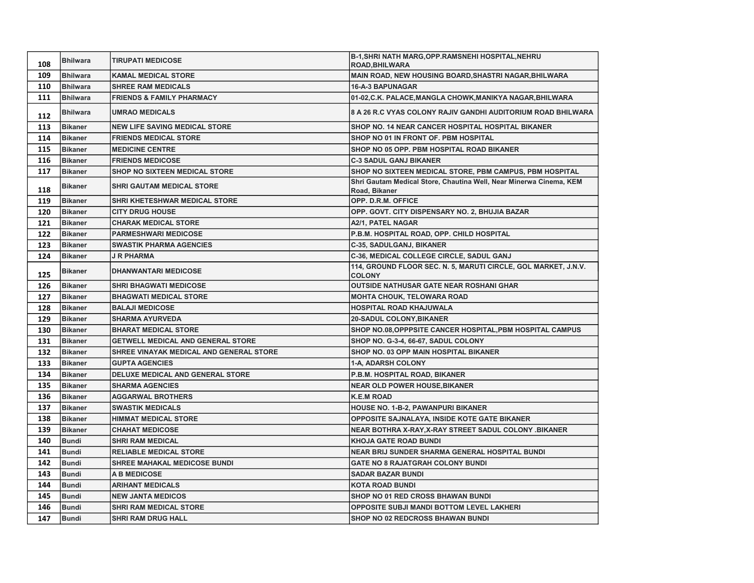| 108 | <b>Bhilwara</b> | <b>TIRUPATI MEDICOSE</b>                 | <b>B-1, SHRI NATH MARG, OPP. RAMSNEHI HOSPITAL, NEHRU</b><br><b>ROAD, BHILWARA</b>  |
|-----|-----------------|------------------------------------------|-------------------------------------------------------------------------------------|
| 109 | <b>Bhilwara</b> | <b>KAMAL MEDICAL STORE</b>               | MAIN ROAD, NEW HOUSING BOARD, SHASTRI NAGAR, BHILWARA                               |
| 110 | <b>Bhilwara</b> | <b>SHREE RAM MEDICALS</b>                | <b>16-A-3 BAPUNAGAR</b>                                                             |
| 111 | <b>Bhilwara</b> | <b>FRIENDS &amp; FAMILY PHARMACY</b>     | 01-02, C.K. PALACE, MANGLA CHOWK, MANIKYA NAGAR, BHILWARA                           |
| 112 | <b>Bhilwara</b> | <b>UMRAO MEDICALS</b>                    | 8 A 26 R.C VYAS COLONY RAJIV GANDHI AUDITORIUM ROAD BHILWARA                        |
| 113 | <b>Bikaner</b>  | <b>NEW LIFE SAVING MEDICAL STORE</b>     | SHOP NO. 14 NEAR CANCER HOSPITAL HOSPITAL BIKANER                                   |
| 114 | <b>Bikaner</b>  | <b>FRIENDS MEDICAL STORE</b>             | SHOP NO 01 IN FRONT OF. PBM HOSPITAL                                                |
| 115 | <b>Bikaner</b>  | <b>MEDICINE CENTRE</b>                   | SHOP NO 05 OPP. PBM HOSPITAL ROAD BIKANER                                           |
| 116 | <b>Bikaner</b>  | <b>FRIENDS MEDICOSE</b>                  | <b>C-3 SADUL GANJ BIKANER</b>                                                       |
| 117 | <b>Bikaner</b>  | <b>SHOP NO SIXTEEN MEDICAL STORE</b>     | SHOP NO SIXTEEN MEDICAL STORE, PBM CAMPUS, PBM HOSPITAL                             |
| 118 | <b>Bikaner</b>  | <b>SHRI GAUTAM MEDICAL STORE</b>         | Shri Gautam Medical Store, Chautina Well, Near Minerwa Cinema, KEM<br>Road, Bikaner |
| 119 | <b>Bikaner</b>  | SHRI KHETESHWAR MEDICAL STORE            | OPP. D.R.M. OFFICE                                                                  |
| 120 | <b>Bikaner</b>  | <b>CITY DRUG HOUSE</b>                   | OPP. GOVT. CITY DISPENSARY NO. 2, BHUJIA BAZAR                                      |
| 121 | <b>Bikaner</b>  | <b>CHARAK MEDICAL STORE</b>              | A2/1, PATEL NAGAR                                                                   |
| 122 | <b>Bikaner</b>  | <b>PARMESHWARI MEDICOSE</b>              | P.B.M. HOSPITAL ROAD, OPP. CHILD HOSPITAL                                           |
| 123 | <b>Bikaner</b>  | <b>SWASTIK PHARMA AGENCIES</b>           | C-35, SADULGANJ, BIKANER                                                            |
| 124 | <b>Bikaner</b>  | <b>J R PHARMA</b>                        | C-36, MEDICAL COLLEGE CIRCLE, SADUL GANJ                                            |
| 125 | <b>Bikaner</b>  | <b>DHANWANTARI MEDICOSE</b>              | 114, GROUND FLOOR SEC. N. 5, MARUTI CIRCLE, GOL MARKET, J.N.V.<br><b>COLONY</b>     |
| 126 | <b>Bikaner</b>  | <b>SHRI BHAGWATI MEDICOSE</b>            | <b>OUTSIDE NATHUSAR GATE NEAR ROSHANI GHAR</b>                                      |
| 127 | <b>Bikaner</b>  | <b>BHAGWATI MEDICAL STORE</b>            | <b>MOHTA CHOUK, TELOWARA ROAD</b>                                                   |
| 128 | <b>Bikaner</b>  | <b>BALAJI MEDICOSE</b>                   | HOSPITAL ROAD KHAJUWALA                                                             |
| 129 | <b>Bikaner</b>  | <b>SHARMA AYURVEDA</b>                   | <b>20-SADUL COLONY, BIKANER</b>                                                     |
| 130 | <b>Bikaner</b>  | <b>BHARAT MEDICAL STORE</b>              | SHOP NO.08, OPPPSITE CANCER HOSPITAL, PBM HOSPITAL CAMPUS                           |
| 131 | <b>Bikaner</b>  | <b>GETWELL MEDICAL AND GENERAL STORE</b> | SHOP NO. G-3-4, 66-67, SADUL COLONY                                                 |
| 132 | <b>Bikaner</b>  | SHREE VINAYAK MEDICAL AND GENERAL STORE  | SHOP NO. 03 OPP MAIN HOSPITAL BIKANER                                               |
| 133 | <b>Bikaner</b>  | <b>GUPTA AGENCIES</b>                    | 1-A, ADARSH COLONY                                                                  |
| 134 | <b>Bikaner</b>  | DELUXE MEDICAL AND GENERAL STORE         | P.B.M. HOSPITAL ROAD, BIKANER                                                       |
| 135 | <b>Bikaner</b>  | <b>SHARMA AGENCIES</b>                   | <b>NEAR OLD POWER HOUSE, BIKANER</b>                                                |
| 136 | <b>Bikaner</b>  | <b>AGGARWAL BROTHERS</b>                 | <b>K.E.M ROAD</b>                                                                   |
| 137 | <b>Bikaner</b>  | <b>SWASTIK MEDICALS</b>                  | <b>HOUSE NO. 1-B-2. PAWANPURI BIKANER</b>                                           |
| 138 | <b>Bikaner</b>  | <b>HIMMAT MEDICAL STORE</b>              | OPPOSITE SAJNALAYA, INSIDE KOTE GATE BIKANER                                        |
| 139 | <b>Bikaner</b>  | <b>CHAHAT MEDICOSE</b>                   | NEAR BOTHRA X-RAY, X-RAY STREET SADUL COLONY .BIKANER                               |
| 140 | <b>Bundi</b>    | <b>SHRI RAM MEDICAL</b>                  | <b>KHOJA GATE ROAD BUNDI</b>                                                        |
| 141 | <b>Bundi</b>    | <b>RELIABLE MEDICAL STORE</b>            | <b>NEAR BRIJ SUNDER SHARMA GENERAL HOSPITAL BUNDI</b>                               |
| 142 | <b>Bundi</b>    | <b>SHREE MAHAKAL MEDICOSE BUNDI</b>      | <b>GATE NO 8 RAJATGRAH COLONY BUNDI</b>                                             |
| 143 | <b>Bundi</b>    | <b>A B MEDICOSE</b>                      | <b>SADAR BAZAR BUNDI</b>                                                            |
| 144 | <b>Bundi</b>    | <b>ARIHANT MEDICALS</b>                  | <b>KOTA ROAD BUNDI</b>                                                              |
| 145 | <b>Bundi</b>    | <b>NEW JANTA MEDICOS</b>                 | SHOP NO 01 RED CROSS BHAWAN BUNDI                                                   |
| 146 | <b>Bundi</b>    | <b>SHRI RAM MEDICAL STORE</b>            | OPPOSITE SUBJI MANDI BOTTOM LEVEL LAKHERI                                           |
| 147 | <b>Bundi</b>    | <b>SHRI RAM DRUG HALL</b>                | SHOP NO 02 REDCROSS BHAWAN BUNDI                                                    |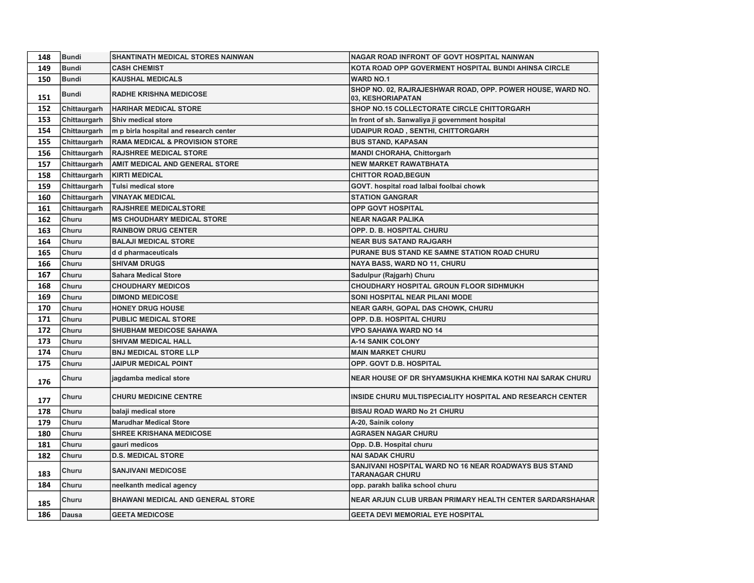| 148 | <b>Bundi</b> | SHANTINATH MEDICAL STORES NAINWAN         | NAGAR ROAD INFRONT OF GOVT HOSPITAL NAINWAN                                     |
|-----|--------------|-------------------------------------------|---------------------------------------------------------------------------------|
| 149 | <b>Bundi</b> | <b>CASH CHEMIST</b>                       | KOTA ROAD OPP GOVERMENT HOSPITAL BUNDI AHINSA CIRCLE                            |
| 150 | <b>Bundi</b> | <b>KAUSHAL MEDICALS</b>                   | <b>WARD NO.1</b>                                                                |
| 151 | <b>Bundi</b> | <b>RADHE KRISHNA MEDICOSE</b>             | SHOP NO. 02, RAJRAJESHWAR ROAD, OPP. POWER HOUSE, WARD NO.<br>03. KESHORIAPATAN |
| 152 | Chittaurgarh | <b>HARIHAR MEDICAL STORE</b>              | SHOP NO.15 COLLECTORATE CIRCLE CHITTORGARH                                      |
| 153 | Chittaurgarh | <b>Shiv medical store</b>                 | In front of sh. Sanwaliya ji government hospital                                |
| 154 | Chittaurgarh | m p birla hospital and research center    | <b>UDAIPUR ROAD, SENTHI, CHITTORGARH</b>                                        |
| 155 | Chittaurgarh | <b>RAMA MEDICAL &amp; PROVISION STORE</b> | <b>BUS STAND, KAPASAN</b>                                                       |
| 156 | Chittaurgarh | <b>RAJSHREE MEDICAL STORE</b>             | <b>MANDI CHORAHA, Chittorgarh</b>                                               |
| 157 | Chittaurgarh | AMIT MEDICAL AND GENERAL STORE            | NEW MARKET RAWATBHATA                                                           |
| 158 | Chittaurgarh | <b>KIRTI MEDICAL</b>                      | <b>CHITTOR ROAD, BEGUN</b>                                                      |
| 159 | Chittaurgarh | <b>Tulsi medical store</b>                | GOVT. hospital road lalbai foolbai chowk                                        |
| 160 | Chittaurgarh | <b>VINAYAK MEDICAL</b>                    | <b>STATION GANGRAR</b>                                                          |
| 161 | Chittaurgarh | <b>RAJSHREE MEDICALSTORE</b>              | <b>OPP GOVT HOSPITAL</b>                                                        |
| 162 | Churu        | <b>MS CHOUDHARY MEDICAL STORE</b>         | <b>NEAR NAGAR PALIKA</b>                                                        |
| 163 | Churu        | <b>RAINBOW DRUG CENTER</b>                | OPP. D. B. HOSPITAL CHURU                                                       |
| 164 | Churu        | <b>BALAJI MEDICAL STORE</b>               | <b>NEAR BUS SATAND RAJGARH</b>                                                  |
| 165 | Churu        | d d pharmaceuticals                       | PURANE BUS STAND KE SAMNE STATION ROAD CHURU                                    |
| 166 | Churu        | <b>SHIVAM DRUGS</b>                       | <b>NAYA BASS, WARD NO 11, CHURU</b>                                             |
| 167 | Churu        | <b>Sahara Medical Store</b>               | Sadulpur (Rajgarh) Churu                                                        |
| 168 | Churu        | <b>CHOUDHARY MEDICOS</b>                  | <b>CHOUDHARY HOSPITAL GROUN FLOOR SIDHMUKH</b>                                  |
| 169 | Churu        | <b>DIMOND MEDICOSE</b>                    | SONI HOSPITAL NEAR PILANI MODE                                                  |
| 170 | Churu        | <b>HONEY DRUG HOUSE</b>                   | <b>NEAR GARH, GOPAL DAS CHOWK, CHURU</b>                                        |
| 171 | Churu        | <b>PUBLIC MEDICAL STORE</b>               | OPP. D.B. HOSPITAL CHURU                                                        |
| 172 | Churu        | SHUBHAM MEDICOSE SAHAWA                   | <b>VPO SAHAWA WARD NO 14</b>                                                    |
| 173 | Churu        | <b>SHIVAM MEDICAL HALL</b>                | <b>A-14 SANIK COLONY</b>                                                        |
| 174 | Churu        | <b>BNJ MEDICAL STORE LLP</b>              | <b>MAIN MARKET CHURU</b>                                                        |
| 175 | Churu        | <b>JAIPUR MEDICAL POINT</b>               | OPP. GOVT D.B. HOSPITAL                                                         |
| 176 | Churu        | jagdamba medical store                    | NEAR HOUSE OF DR SHYAMSUKHA KHEMKA KOTHI NAI SARAK CHURU                        |
| 177 | Churu        | <b>CHURU MEDICINE CENTRE</b>              | INSIDE CHURU MULTISPECIALITY HOSPITAL AND RESEARCH CENTER                       |
| 178 | Churu        | balaji medical store                      | <b>BISAU ROAD WARD No 21 CHURU</b>                                              |
| 179 | Churu        | <b>Marudhar Medical Store</b>             | A-20, Sainik colony                                                             |
| 180 | Churu        | <b>SHREE KRISHANA MEDICOSE</b>            | <b>AGRASEN NAGAR CHURU</b>                                                      |
| 181 | Churu        | gauri medicos                             | Opp. D.B. Hospital churu                                                        |
| 182 | Churu        | <b>D.S. MEDICAL STORE</b>                 | <b>NAI SADAK CHURU</b>                                                          |
| 183 | Churu        | <b>SANJIVANI MEDICOSE</b>                 | SANJIVANI HOSPITAL WARD NO 16 NEAR ROADWAYS BUS STAND<br><b>TARANAGAR CHURU</b> |
| 184 | Churu        | neelkanth medical agency                  | opp. parakh balika school churu                                                 |
| 185 | Churu        | <b>BHAWANI MEDICAL AND GENERAL STORE</b>  | NEAR ARJUN CLUB URBAN PRIMARY HEALTH CENTER SARDARSHAHAR                        |
| 186 | <b>Dausa</b> | <b>GEETA MEDICOSE</b>                     | <b>GEETA DEVI MEMORIAL EYE HOSPITAL</b>                                         |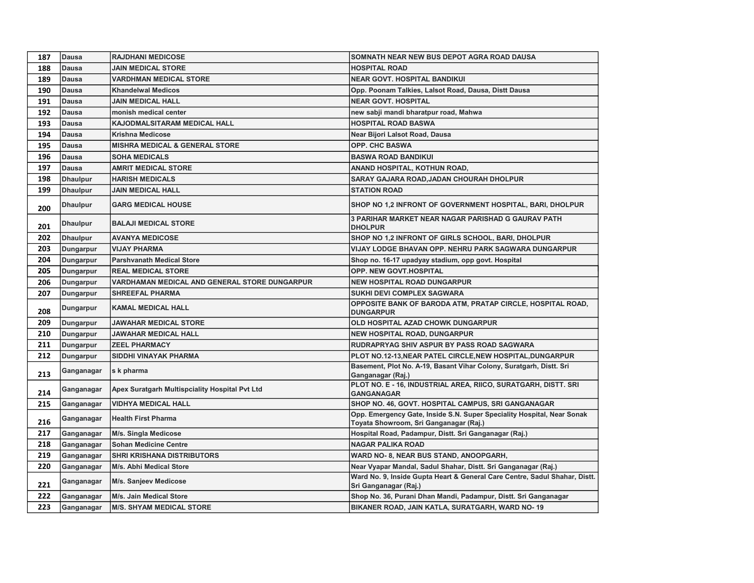| 187 | <b>Dausa</b>    | <b>RAJDHANI MEDICOSE</b>                       | SOMNATH NEAR NEW BUS DEPOT AGRA ROAD DAUSA                                                                       |
|-----|-----------------|------------------------------------------------|------------------------------------------------------------------------------------------------------------------|
| 188 | <b>Dausa</b>    | <b>JAIN MEDICAL STORE</b>                      | <b>HOSPITAL ROAD</b>                                                                                             |
| 189 | <b>Dausa</b>    | <b>VARDHMAN MEDICAL STORE</b>                  | <b>NEAR GOVT, HOSPITAL BANDIKUI</b>                                                                              |
| 190 | Dausa           | <b>Khandelwal Medicos</b>                      | Opp. Poonam Talkies, Lalsot Road, Dausa, Distt Dausa                                                             |
| 191 | <b>Dausa</b>    | <b>JAIN MEDICAL HALL</b>                       | <b>NEAR GOVT, HOSPITAL</b>                                                                                       |
| 192 | <b>Dausa</b>    | monish medical center                          | new sabji mandi bharatpur road, Mahwa                                                                            |
| 193 | <b>Dausa</b>    | KAJODMALSITARAM MEDICAL HALL                   | <b>HOSPITAL ROAD BASWA</b>                                                                                       |
| 194 | Dausa           | <b>Krishna Medicose</b>                        | Near Bijori Lalsot Road, Dausa                                                                                   |
| 195 | <b>Dausa</b>    | <b>MISHRA MEDICAL &amp; GENERAL STORE</b>      | OPP. CHC BASWA                                                                                                   |
| 196 | <b>Dausa</b>    | <b>SOHA MEDICALS</b>                           | <b>BASWA ROAD BANDIKUI</b>                                                                                       |
| 197 | <b>Dausa</b>    | <b>AMRIT MEDICAL STORE</b>                     | ANAND HOSPITAL, KOTHUN ROAD,                                                                                     |
| 198 | <b>Dhaulpur</b> | <b>HARISH MEDICALS</b>                         | SARAY GAJARA ROAD, JADAN CHOURAH DHOLPUR                                                                         |
| 199 | <b>Dhaulpur</b> | <b>JAIN MEDICAL HALL</b>                       | <b>STATION ROAD</b>                                                                                              |
| 200 | <b>Dhaulpur</b> | <b>GARG MEDICAL HOUSE</b>                      | SHOP NO 1,2 INFRONT OF GOVERNMENT HOSPITAL, BARI, DHOLPUR                                                        |
| 201 | <b>Dhaulpur</b> | <b>BALAJI MEDICAL STORE</b>                    | 3 PARIHAR MARKET NEAR NAGAR PARISHAD G GAURAV PATH<br><b>DHOLPUR</b>                                             |
| 202 | <b>Dhaulpur</b> | <b>AVANYA MEDICOSE</b>                         | SHOP NO 1,2 INFRONT OF GIRLS SCHOOL, BARI, DHOLPUR                                                               |
| 203 | Dungarpur       | <b>VIJAY PHARMA</b>                            | VIJAY LODGE BHAVAN OPP. NEHRU PARK SAGWARA DUNGARPUR                                                             |
| 204 | Dungarpur       | <b>Parshvanath Medical Store</b>               | Shop no. 16-17 upadyay stadium, opp govt. Hospital                                                               |
| 205 | Dungarpur       | <b>REAL MEDICAL STORE</b>                      | OPP. NEW GOVT.HOSPITAL                                                                                           |
| 206 | Dungarpur       | VARDHAMAN MEDICAL AND GENERAL STORE DUNGARPUR  | <b>NEW HOSPITAL ROAD DUNGARPUR</b>                                                                               |
| 207 | Dungarpur       | <b>SHREEFAL PHARMA</b>                         | <b>SUKHI DEVI COMPLEX SAGWARA</b>                                                                                |
| 208 | Dungarpur       | <b>KAMAL MEDICAL HALL</b>                      | OPPOSITE BANK OF BARODA ATM, PRATAP CIRCLE, HOSPITAL ROAD,<br><b>DUNGARPUR</b>                                   |
| 209 | Dungarpur       | <b>JAWAHAR MEDICAL STORE</b>                   | OLD HOSPITAL AZAD CHOWK DUNGARPUR                                                                                |
| 210 | Dungarpur       | <b>JAWAHAR MEDICAL HALL</b>                    | <b>NEW HOSPITAL ROAD, DUNGARPUR</b>                                                                              |
| 211 | Dungarpur       | <b>ZEEL PHARMACY</b>                           | RUDRAPRYAG SHIV ASPUR BY PASS ROAD SAGWARA                                                                       |
| 212 | Dungarpur       | SIDDHI VINAYAK PHARMA                          | PLOT NO.12-13, NEAR PATEL CIRCLE, NEW HOSPITAL, DUNGARPUR                                                        |
| 213 | Ganganagar      | s k pharma                                     | Basement, Plot No. A-19, Basant Vihar Colony, Suratgarh, Distt. Sri<br>Ganganagar (Raj.)                         |
| 214 | Ganganagar      | Apex Suratgarh Multispciality Hospital Pvt Ltd | PLOT NO. E - 16, INDUSTRIAL AREA, RIICO, SURATGARH, DISTT. SRI<br><b>GANGANAGAR</b>                              |
| 215 | Ganganagar      | <b>VIDHYA MEDICAL HALL</b>                     | SHOP NO. 46, GOVT. HOSPITAL CAMPUS, SRI GANGANAGAR                                                               |
| 216 | Ganganagar      | <b>Health First Pharma</b>                     | Opp. Emergency Gate, Inside S.N. Super Speciality Hospital, Near Sonak<br>Toyata Showroom, Sri Ganganagar (Raj.) |
| 217 | Ganganagar      | M/s. Singla Medicose                           | Hospital Road, Padampur, Distt. Sri Ganganagar (Raj.)                                                            |
| 218 | Ganganagar      | <b>Sohan Medicine Centre</b>                   | <b>NAGAR PALIKA ROAD</b>                                                                                         |
| 219 | Ganganagar      | <b>SHRI KRISHANA DISTRIBUTORS</b>              | WARD NO- 8, NEAR BUS STAND, ANOOPGARH,                                                                           |
| 220 | Ganganagar      | M/s. Abhi Medical Store                        | Near Vyapar Mandal, Sadul Shahar, Distt. Sri Ganganagar (Raj.)                                                   |
| 221 | Ganganagar      | M/s. Sanjeev Medicose                          | Ward No. 9, Inside Gupta Heart & General Care Centre, Sadul Shahar, Distt.<br>Sri Ganganagar (Raj.)              |
| 222 | Ganganagar      | M/s. Jain Medical Store                        | Shop No. 36, Purani Dhan Mandi, Padampur, Distt. Sri Ganganagar                                                  |
| 223 | Ganganagar      | <b>M/S. SHYAM MEDICAL STORE</b>                | BIKANER ROAD, JAIN KATLA, SURATGARH, WARD NO-19                                                                  |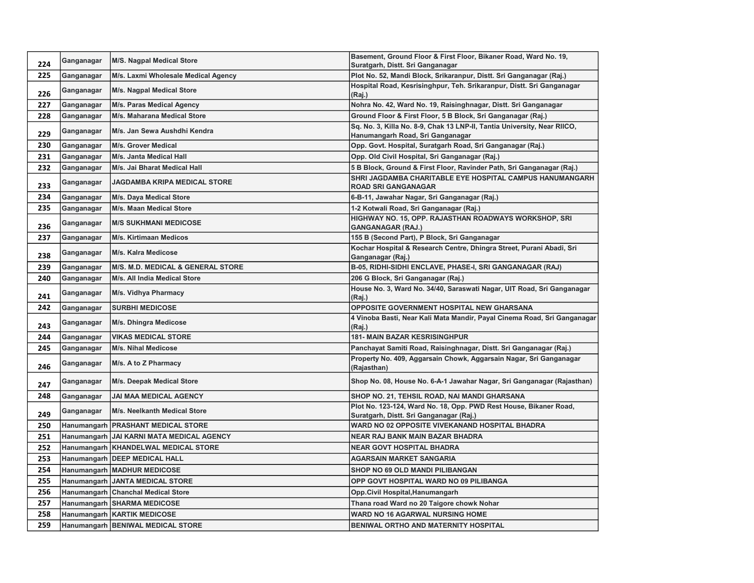|     | Ganganagar | <b>M/S. Nagpal Medical Store</b>             | Basement, Ground Floor & First Floor, Bikaner Road, Ward No. 19,                                             |
|-----|------------|----------------------------------------------|--------------------------------------------------------------------------------------------------------------|
| 224 |            |                                              | Suratgarh, Distt. Sri Ganganagar                                                                             |
| 225 | Ganganagar | M/s. Laxmi Wholesale Medical Agency          | Plot No. 52, Mandi Block, Srikaranpur, Distt. Sri Ganganagar (Raj.)                                          |
| 226 | Ganganagar | M/s. Nagpal Medical Store                    | Hospital Road, Kesrisinghpur, Teh. Srikaranpur, Distt. Sri Ganganagar<br>(Raj.)                              |
| 227 | Ganganagar | M/s. Paras Medical Agency                    | Nohra No. 42, Ward No. 19, Raisinghnagar, Distt. Sri Ganganagar                                              |
| 228 | Ganganagar | M/s. Maharana Medical Store                  | Ground Floor & First Floor, 5 B Block, Sri Ganganagar (Raj.)                                                 |
| 229 | Ganganagar | M/s. Jan Sewa Aushdhi Kendra                 | Sq. No. 3, Killa No. 8-9, Chak 13 LNP-II, Tantia University, Near RIICO,<br>Hanumangarh Road, Sri Ganganagar |
| 230 | Ganganagar | M/s. Grover Medical                          | Opp. Govt. Hospital, Suratgarh Road, Sri Ganganagar (Raj.)                                                   |
| 231 | Ganganagar | <b>M/s. Janta Medical Hall</b>               | Opp. Old Civil Hospital, Sri Ganganagar (Raj.)                                                               |
| 232 | Ganganagar | M/s. Jai Bharat Medical Hall                 | 5 B Block, Ground & First Floor, Ravinder Path, Sri Ganganagar (Raj.)                                        |
| 233 | Ganganagar | <b>JAGDAMBA KRIPA MEDICAL STORE</b>          | SHRI JAGDAMBA CHARITABLE EYE HOSPITAL CAMPUS HANUMANGARH<br><b>ROAD SRI GANGANAGAR</b>                       |
| 234 | Ganganagar | M/s. Daya Medical Store                      | 6-B-11, Jawahar Nagar, Sri Ganganagar (Raj.)                                                                 |
| 235 | Ganganagar | M/s. Maan Medical Store                      | 1-2 Kotwali Road, Sri Ganganagar (Raj.)                                                                      |
| 236 | Ganganagar | <b>M/S SUKHMANI MEDICOSE</b>                 | HIGHWAY NO. 15, OPP. RAJASTHAN ROADWAYS WORKSHOP, SRI<br><b>GANGANAGAR (RAJ.)</b>                            |
| 237 | Ganganagar | <b>M/s. Kirtimaan Medicos</b>                | 155 B (Second Part), P Block, Sri Ganganagar                                                                 |
|     |            |                                              | Kochar Hospital & Research Centre, Dhingra Street, Purani Abadi, Sri                                         |
| 238 | Ganganagar | M/s. Kalra Medicose                          | Ganganagar (Raj.)                                                                                            |
| 239 | Ganganagar | <b>M/S. M.D. MEDICAL &amp; GENERAL STORE</b> | B-05, RIDHI-SIDHI ENCLAVE, PHASE-I, SRI GANGANAGAR (RAJ)                                                     |
| 240 | Ganganagar | M/s. All India Medical Store                 | 206 G Block, Sri Ganganagar (Raj.)                                                                           |
| 241 | Ganganagar | M/s. Vidhya Pharmacy                         | House No. 3, Ward No. 34/40, Saraswati Nagar, UIT Road, Sri Ganganagar<br>(Raj.)                             |
| 242 | Ganganagar | <b>SURBHI MEDICOSE</b>                       | <b>OPPOSITE GOVERNMENT HOSPITAL NEW GHARSANA</b>                                                             |
| 243 | Ganganagar | M/s. Dhingra Medicose                        | 4 Vinoba Basti, Near Kali Mata Mandir, Payal Cinema Road, Sri Ganganagar<br>(Raj.)                           |
| 244 | Ganganagar | <b>VIKAS MEDICAL STORE</b>                   | <b>181- MAIN BAZAR KESRISINGHPUR</b>                                                                         |
| 245 | Ganganagar | <b>M/s. Nihal Medicose</b>                   | Panchayat Samiti Road, Raisinghnagar, Distt. Sri Ganganagar (Raj.)                                           |
| 246 | Ganganagar | M/s. A to Z Pharmacy                         | Property No. 409, Aggarsain Chowk, Aggarsain Nagar, Sri Ganganagar<br>(Rajasthan)                            |
| 247 | Ganganagar | M/s. Deepak Medical Store                    | Shop No. 08, House No. 6-A-1 Jawahar Nagar, Sri Ganganagar (Rajasthan)                                       |
| 248 | Ganganagar | <b>JAI MAA MEDICAL AGENCY</b>                | SHOP NO. 21, TEHSIL ROAD, NAI MANDI GHARSANA                                                                 |
| 249 | Ganganagar | M/s. Neelkanth Medical Store                 | Plot No. 123-124, Ward No. 18, Opp. PWD Rest House, Bikaner Road,<br>Suratgarh, Distt. Sri Ganganagar (Raj.) |
| 250 |            | Hanumangarh   PRASHANT MEDICAL STORE         | WARD NO 02 OPPOSITE VIVEKANAND HOSPITAL BHADRA                                                               |
| 251 |            | Hanumangarh JAI KARNI MATA MEDICAL AGENCY    | <b>NEAR RAJ BANK MAIN BAZAR BHADRA</b>                                                                       |
| 252 |            | Hanumangarh   KHANDELWAL MEDICAL STORE       | <b>NEAR GOVT HOSPITAL BHADRA</b>                                                                             |
| 253 |            | Hanumangarh   DEEP MEDICAL HALL              | AGARSAIN MARKET SANGARIA                                                                                     |
| 254 |            | Hanumangarh MADHUR MEDICOSE                  | <b>SHOP NO 69 OLD MANDI PILIBANGAN</b>                                                                       |
| 255 |            | Hanumangarh JANTA MEDICAL STORE              | OPP GOVT HOSPITAL WARD NO 09 PILIBANGA                                                                       |
| 256 |            | Hanumangarh Chanchal Medical Store           | Opp.Civil Hospital, Hanumangarh                                                                              |
| 257 |            | Hanumangarh SHARMA MEDICOSE                  | Thana road Ward no 20 Taigore chowk Nohar                                                                    |
| 258 |            | <b>Hanumangarh KARTIK MEDICOSE</b>           | <b>WARD NO 16 AGARWAL NURSING HOME</b>                                                                       |
| 259 |            | Hanumangarh BENIWAL MEDICAL STORE            | BENIWAL ORTHO AND MATERNITY HOSPITAL                                                                         |
|     |            |                                              |                                                                                                              |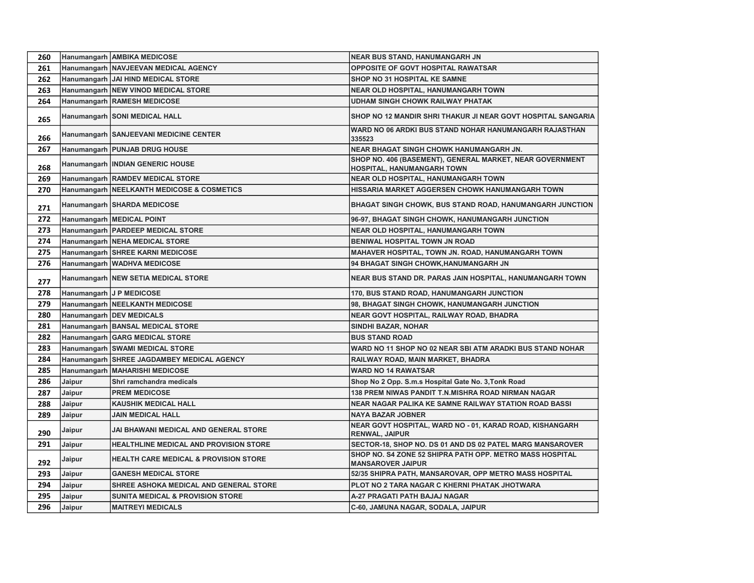| 260 |        | Hanumangarh AMBIKA MEDICOSE                      | <b>NEAR BUS STAND, HANUMANGARH JN</b>                                                  |
|-----|--------|--------------------------------------------------|----------------------------------------------------------------------------------------|
| 261 |        | Hanumangarh NAVJEEVAN MEDICAL AGENCY             | OPPOSITE OF GOVT HOSPITAL RAWATSAR                                                     |
| 262 |        | Hanumangarh JAI HIND MEDICAL STORE               | SHOP NO 31 HOSPITAL KE SAMNE                                                           |
| 263 |        | Hanumangarh NEW VINOD MEDICAL STORE              | <b>NEAR OLD HOSPITAL, HANUMANGARH TOWN</b>                                             |
| 264 |        | <b>Hanumangarh RAMESH MEDICOSE</b>               | <b>UDHAM SINGH CHOWK RAILWAY PHATAK</b>                                                |
| 265 |        | Hanumangarh SONI MEDICAL HALL                    | SHOP NO 12 MANDIR SHRI THAKUR JI NEAR GOVT HOSPITAL SANGARIA                           |
| 266 |        | Hanumangarh SANJEEVANI MEDICINE CENTER           | WARD NO 06 ARDKI BUS STAND NOHAR HANUMANGARH RAJASTHAN<br>335523                       |
| 267 |        | Hanumangarh   PUNJAB DRUG HOUSE                  | NEAR BHAGAT SINGH CHOWK HANUMANGARH JN.                                                |
| 268 |        | Hanumangarh   INDIAN GENERIC HOUSE               | SHOP NO. 406 (BASEMENT), GENERAL MARKET, NEAR GOVERNMENT<br>HOSPITAL, HANUMANGARH TOWN |
| 269 |        | Hanumangarh   RAMDEV MEDICAL STORE               | NEAR OLD HOSPITAL, HANUMANGARH TOWN                                                    |
| 270 |        | Hanumangarh   NEELKANTH MEDICOSE & COSMETICS     | HISSARIA MARKET AGGERSEN CHOWK HANUMANGARH TOWN                                        |
| 271 |        | Hanumangarh SHARDA MEDICOSE                      | BHAGAT SINGH CHOWK, BUS STAND ROAD, HANUMANGARH JUNCTION                               |
| 272 |        | Hanumangarh   MEDICAL POINT                      | 96-97, BHAGAT SINGH CHOWK, HANUMANGARH JUNCTION                                        |
| 273 |        | Hanumangarh   PARDEEP MEDICAL STORE              | NEAR OLD HOSPITAL, HANUMANGARH TOWN                                                    |
| 274 |        | Hanumangarh NEHA MEDICAL STORE                   | BENIWAL HOSPITAL TOWN JN ROAD                                                          |
| 275 |        | Hanumangarh SHREE KARNI MEDICOSE                 | MAHAVER HOSPITAL, TOWN JN. ROAD, HANUMANGARH TOWN                                      |
| 276 |        | Hanumangarh WADHVA MEDICOSE                      | 94 BHAGAT SINGH CHOWK, HANUMANGARH JN                                                  |
| 277 |        | Hanumangarh NEW SETIA MEDICAL STORE              | NEAR BUS STAND DR. PARAS JAIN HOSPITAL, HANUMANGARH TOWN                               |
| 278 |        | Hanumangarh J P MEDICOSE                         | 170, BUS STAND ROAD, HANUMANGARH JUNCTION                                              |
| 279 |        | Hanumangarh   NEELKANTH MEDICOSE                 | 98, BHAGAT SINGH CHOWK, HANUMANGARH JUNCTION                                           |
| 280 |        | Hanumangarh DEV MEDICALS                         | NEAR GOVT HOSPITAL, RAILWAY ROAD, BHADRA                                               |
| 281 |        | Hanumangarh BANSAL MEDICAL STORE                 | <b>SINDHI BAZAR, NOHAR</b>                                                             |
| 282 |        | Hanumangarh GARG MEDICAL STORE                   | <b>BUS STAND ROAD</b>                                                                  |
| 283 |        | Hanumangarh SWAMI MEDICAL STORE                  | WARD NO 11 SHOP NO 02 NEAR SBI ATM ARADKI BUS STAND NOHAR                              |
| 284 |        | Hanumangarh SHREE JAGDAMBEY MEDICAL AGENCY       | RAILWAY ROAD, MAIN MARKET, BHADRA                                                      |
| 285 |        | Hanumangarh   MAHARISHI MEDICOSE                 | <b>WARD NO 14 RAWATSAR</b>                                                             |
| 286 | Jaipur | Shri ramchandra medicals                         | Shop No 2 Opp. S.m.s Hospital Gate No. 3, Tonk Road                                    |
| 287 | Jaipur | <b>PREM MEDICOSE</b>                             | <b>138 PREM NIWAS PANDIT T.N.MISHRA ROAD NIRMAN NAGAR</b>                              |
| 288 | Jaipur | <b>KAUSHIK MEDICAL HALL</b>                      | NEAR NAGAR PALIKA KE SAMNE RAILWAY STATION ROAD BASSI                                  |
| 289 | Jaipur | <b>JAIN MEDICAL HALL</b>                         | <b>NAYA BAZAR JOBNER</b>                                                               |
| 290 | Jaipur | JAI BHAWANI MEDICAL AND GENERAL STORE            | NEAR GOVT HOSPITAL, WARD NO - 01, KARAD ROAD, KISHANGARH<br><b>RENWAL, JAIPUR</b>      |
| 291 | Jaipur | <b>HEALTHLINE MEDICAL AND PROVISION STORE</b>    | SECTOR-18, SHOP NO. DS 01 AND DS 02 PATEL MARG MANSAROVER                              |
| 292 | Jaipur | <b>HEALTH CARE MEDICAL &amp; PROVISION STORE</b> | SHOP NO. S4 ZONE 52 SHIPRA PATH OPP. METRO MASS HOSPITAL<br><b>MANSAROVER JAIPUR</b>   |
| 293 | Jaipur | <b>GANESH MEDICAL STORE</b>                      | 52/35 SHIPRA PATH, MANSAROVAR, OPP METRO MASS HOSPITAL                                 |
| 294 | Jaipur | SHREE ASHOKA MEDICAL AND GENERAL STORE           | PLOT NO 2 TARA NAGAR C KHERNI PHATAK JHOTWARA                                          |
| 295 | Jaipur | <b>SUNITA MEDICAL &amp; PROVISION STORE</b>      | A-27 PRAGATI PATH BAJAJ NAGAR                                                          |
| 296 | Jaipur | <b>MAITREYI MEDICALS</b>                         | C-60, JAMUNA NAGAR, SODALA, JAIPUR                                                     |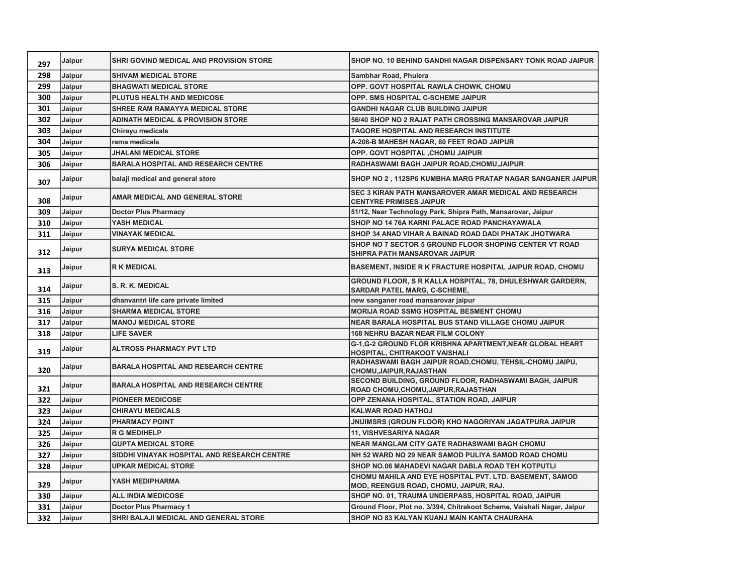| 297 | Jaipur | SHRI GOVIND MEDICAL AND PROVISION STORE      | SHOP NO. 10 BEHIND GANDHI NAGAR DISPENSARY TONK ROAD JAIPUR                                       |
|-----|--------|----------------------------------------------|---------------------------------------------------------------------------------------------------|
| 298 | Jaipur | <b>SHIVAM MEDICAL STORE</b>                  | Sambhar Road, Phulera                                                                             |
| 299 | Jaipur | <b>BHAGWATI MEDICAL STORE</b>                | OPP. GOVT HOSPITAL RAWLA CHOWK, CHOMU                                                             |
| 300 | Jaipur | PLUTUS HEALTH AND MEDICOSE                   | OPP. SMS HOSPITAL C-SCHEME JAIPUR                                                                 |
| 301 | Jaipur | SHREE RAM RAMAYYA MEDICAL STORE              | <b>GANDHI NAGAR CLUB BUILDING JAIPUR</b>                                                          |
| 302 | Jaipur | <b>ADINATH MEDICAL &amp; PROVISION STORE</b> | 56/40 SHOP NO 2 RAJAT PATH CROSSING MANSAROVAR JAIPUR                                             |
| 303 | Jaipur | Chirayu medicals                             | <b>TAGORE HOSPITAL AND RESEARCH INSTITUTE</b>                                                     |
| 304 | Jaipur | rama medicals                                | A-208-B MAHESH NAGAR, 80 FEET ROAD JAIPUR                                                         |
| 305 | Jaipur | <b>JHALANI MEDICAL STORE</b>                 | OPP. GOVT HOSPITAL , CHOMU JAIPUR                                                                 |
| 306 | Jaipur | <b>BARALA HOSPITAL AND RESEARCH CENTRE</b>   | RADHASWAMI BAGH JAIPUR ROAD, CHOMU, JAIPUR                                                        |
| 307 | Jaipur | balaji medical and general store             | SHOP NO 2, 112SP6 KUMBHA MARG PRATAP NAGAR SANGANER JAIPUR                                        |
| 308 | Jaipur | AMAR MEDICAL AND GENERAL STORE               | SEC 3 KIRAN PATH MANSAROVER AMAR MEDICAL AND RESEARCH<br><b>CENTYRE PRIMISES JAIPUR</b>           |
| 309 | Jaipur | <b>Doctor Plus Pharmacy</b>                  | 51/12, Near Technology Park, Shipra Path, Mansarovar, Jaipur                                      |
| 310 | Jaipur | <b>YASH MEDICAL</b>                          | SHOP NO 14 76A KARNI PALACE ROAD PANCHAYAWALA                                                     |
| 311 | Jaipur | <b>VINAYAK MEDICAL</b>                       | SHOP 34 ANAD VIHAR A BAINAD ROAD DADI PHATAK JHOTWARA                                             |
| 312 | Jaipur | <b>SURYA MEDICAL STORE</b>                   | SHOP NO 7 SECTOR 5 GROUND FLOOR SHOPING CENTER VT ROAD<br>SHIPRA PATH MANSAROVAR JAIPUR           |
| 313 | Jaipur | <b>R K MEDICAL</b>                           | <b>BASEMENT, INSIDE R K FRACTURE HOSPITAL JAIPUR ROAD, CHOMU</b>                                  |
| 314 | Jaipur | S. R. K. MEDICAL                             | GROUND FLOOR, S R KALLA HOSPITAL, 78, DHULESHWAR GARDERN,<br><b>SARDAR PATEL MARG, C-SCHEME,</b>  |
| 315 | Jaipur | dhanvantri life care private limited         | new sanganer road mansarovar jaipur                                                               |
| 316 | Jaipur | <b>SHARMA MEDICAL STORE</b>                  | <b>MORIJA ROAD SSMG HOSPITAL BESMENT CHOMU</b>                                                    |
| 317 | Jaipur | <b>MANOJ MEDICAL STORE</b>                   | NEAR BARALA HOSPITAL BUS STAND VILLAGE CHOMU JAIPUR                                               |
| 318 | Jaipur | <b>LIFE SAVER</b>                            | 168 NEHRU BAZAR NEAR FILM COLONY                                                                  |
| 319 | Jaipur | <b>ALTROSS PHARMACY PVT LTD</b>              | G-1, G-2 GROUND FLOR KRISHNA APARTMENT, NEAR GLOBAL HEART<br>HOSPITAL, CHITRAKOOT VAISHALI        |
| 320 | Jaipur | <b>BARALA HOSPITAL AND RESEARCH CENTRE</b>   | RADHASWAMI BAGH JAIPUR ROAD, CHOMU, TEHSIL-CHOMU JAIPU,<br>CHOMU, JAIPUR, RAJASTHAN               |
| 321 | Jaipur | <b>BARALA HOSPITAL AND RESEARCH CENTRE</b>   | SECOND BUILDING, GROUND FLOOR, RADHASWAMI BAGH, JAIPUR<br>ROAD CHOMU, CHOMU, JAIPUR, RAJASTHAN    |
| 322 | Jaipur | <b>PIONEER MEDICOSE</b>                      | OPP ZENANA HOSPITAL, STATION ROAD, JAIPUR                                                         |
| 323 | Jaipur | <b>CHIRAYU MEDICALS</b>                      | <b>KALWAR ROAD HATHOJ</b>                                                                         |
| 324 | Jaipur | <b>PHARMACY POINT</b>                        | JNUIMSRS (GROUN FLOOR) KHO NAGORIYAN JAGATPURA JAIPUR                                             |
| 325 | Jaipur | <b>R G MEDIHELP</b>                          | 11, VISHVESARIYA NAGAR                                                                            |
| 326 | Jaipur | <b>GUPTA MEDICAL STORE</b>                   | NEAR MANGLAM CITY GATE RADHASWAMI BAGH CHOMU                                                      |
| 327 | Jaipur | SIDDHI VINAYAK HOSPITAL AND RESEARCH CENTRE  | NH 52 WARD NO 29 NEAR SAMOD PULIYA SAMOD ROAD CHOMU                                               |
| 328 | Jaipur | <b>UPKAR MEDICAL STORE</b>                   | SHOP NO.06 MAHADEVI NAGAR DABLA ROAD TEH KOTPUTLI                                                 |
| 329 | Jaipur | YASH MEDIPHARMA                              | CHOMU MAHILA AND EYE HOSPITAL PVT. LTD. BASEMENT, SAMOD<br>MOD, REENGUS ROAD, CHOMU, JAIPUR, RAJ. |
| 330 | Jaipur | <b>ALL INDIA MEDICOSE</b>                    | SHOP NO. 01, TRAUMA UNDERPASS, HOSPITAL ROAD, JAIPUR                                              |
| 331 | Jaipur | Doctor Plus Pharmacy 1                       | Ground Floor, Plot no. 3/394, Chitrakoot Scheme, Vaishali Nagar, Jaipur                           |
| 332 | Jaipur | SHRI BALAJI MEDICAL AND GENERAL STORE        | SHOP NO 83 KALYAN KUANJ MAIN KANTA CHAURAHA                                                       |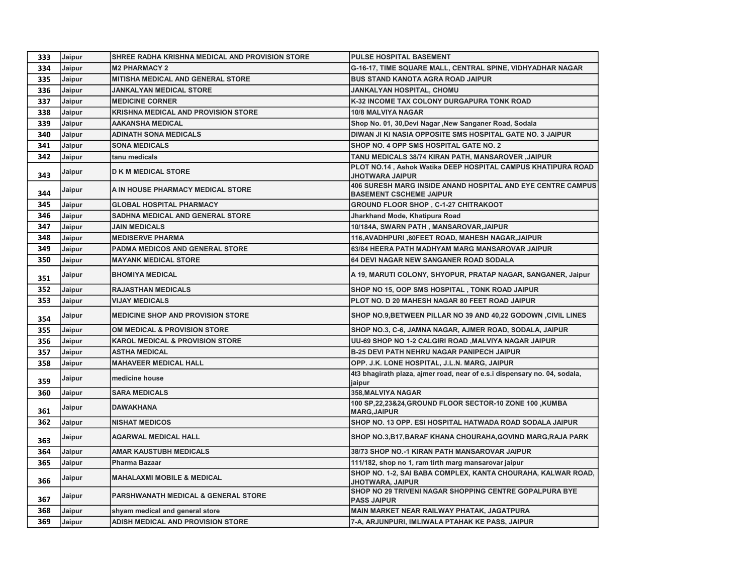| 333 | Jaipur | SHREE RADHA KRISHNA MEDICAL AND PROVISION STORE | PULSE HOSPITAL BASEMENT                                                                       |
|-----|--------|-------------------------------------------------|-----------------------------------------------------------------------------------------------|
| 334 | Jaipur | <b>M2 PHARMACY 2</b>                            | G-16-17, TIME SQUARE MALL, CENTRAL SPINE, VIDHYADHAR NAGAR                                    |
| 335 | Jaipur | <b>MITISHA MEDICAL AND GENERAL STORE</b>        | <b>BUS STAND KANOTA AGRA ROAD JAIPUR</b>                                                      |
| 336 | Jaipur | <b>JANKALYAN MEDICAL STORE</b>                  | JANKALYAN HOSPITAL, CHOMU                                                                     |
| 337 | Jaipur | <b>MEDICINE CORNER</b>                          | K-32 INCOME TAX COLONY DURGAPURA TONK ROAD                                                    |
| 338 | Jaipur | <b>KRISHNA MEDICAL AND PROVISION STORE</b>      | 10/8 MALVIYA NAGAR                                                                            |
| 339 | Jaipur | <b>AAKANSHA MEDICAL</b>                         | Shop No. 01, 30, Devi Nagar, New Sanganer Road, Sodala                                        |
| 340 | Jaipur | <b>ADINATH SONA MEDICALS</b>                    | DIWAN JI KI NASIA OPPOSITE SMS HOSPITAL GATE NO. 3 JAIPUR                                     |
| 341 | Jaipur | <b>SONA MEDICALS</b>                            | SHOP NO. 4 OPP SMS HOSPITAL GATE NO. 2                                                        |
| 342 | Jaipur | tanu medicals                                   | TANU MEDICALS 38/74 KIRAN PATH, MANSAROVER, JAIPUR                                            |
| 343 | Jaipur | <b>D K M MEDICAL STORE</b>                      | PLOT NO.14, Ashok Watika DEEP HOSPITAL CAMPUS KHATIPURA ROAD<br>JHOTWARA JAIPUR               |
| 344 | Jaipur | A IN HOUSE PHARMACY MEDICAL STORE               | 406 SURESH MARG INSIDE ANAND HOSPITAL AND EYE CENTRE CAMPUS<br><b>BASEMENT CSCHEME JAIPUR</b> |
| 345 | Jaipur | <b>GLOBAL HOSPITAL PHARMACY</b>                 | <b>GROUND FLOOR SHOP, C-1-27 CHITRAKOOT</b>                                                   |
| 346 | Jaipur | SADHNA MEDICAL AND GENERAL STORE                | Jharkhand Mode, Khatipura Road                                                                |
| 347 | Jaipur | <b>JAIN MEDICALS</b>                            | 10/184A, SWARN PATH, MANSAROVAR, JAIPUR                                                       |
| 348 | Jaipur | <b>MEDISERVE PHARMA</b>                         | 116, AVADHPURI, 80FEET ROAD, MAHESH NAGAR, JAIPUR                                             |
| 349 | Jaipur | PADMA MEDICOS AND GENERAL STORE                 | 63/84 HEERA PATH MADHYAM MARG MANSAROVAR JAIPUR                                               |
| 350 | Jaipur | <b>MAYANK MEDICAL STORE</b>                     | 64 DEVI NAGAR NEW SANGANER ROAD SODALA                                                        |
| 351 | Jaipur | <b>BHOMIYA MEDICAL</b>                          | A 19, MARUTI COLONY, SHYOPUR, PRATAP NAGAR, SANGANER, Jaipur                                  |
| 352 | Jaipur | <b>RAJASTHAN MEDICALS</b>                       | SHOP NO 15, OOP SMS HOSPITAL, TONK ROAD JAIPUR                                                |
| 353 | Jaipur | <b>VIJAY MEDICALS</b>                           | PLOT NO. D 20 MAHESH NAGAR 80 FEET ROAD JAIPUR                                                |
| 354 | Jaipur | <b>MEDICINE SHOP AND PROVISION STORE</b>        | SHOP NO.9, BETWEEN PILLAR NO 39 AND 40,22 GODOWN, CIVIL LINES                                 |
| 355 | Jaipur | OM MEDICAL & PROVISION STORE                    | SHOP NO.3, C-6, JAMNA NAGAR, AJMER ROAD, SODALA, JAIPUR                                       |
| 356 | Jaipur | <b>KAROL MEDICAL &amp; PROVISION STORE</b>      | UU-69 SHOP NO 1-2 CALGIRI ROAD , MALVIYA NAGAR JAIPUR                                         |
| 357 | Jaipur | <b>ASTHA MEDICAL</b>                            | <b>B-25 DEVI PATH NEHRU NAGAR PANIPECH JAIPUR</b>                                             |
| 358 | Jaipur | <b>MAHAVEER MEDICAL HALL</b>                    | OPP. J.K. LONE HOSPITAL, J.L.N. MARG, JAIPUR                                                  |
| 359 | Jaipur | medicine house                                  | 4t3 bhagirath plaza, ajmer road, near of e.s.i dispensary no. 04, sodala,<br>jaipur           |
| 360 | Jaipur | <b>SARA MEDICALS</b>                            | 358, MALVIYA NAGAR                                                                            |
| 361 | Jaipur | <b>DAWAKHANA</b>                                | 100 SP,22,23&24, GROUND FLOOR SECTOR-10 ZONE 100 , KUMBA<br><b>MARG, JAIPUR</b>               |
| 362 | Jaipur | <b>NISHAT MEDICOS</b>                           | SHOP NO. 13 OPP. ESI HOSPITAL HATWADA ROAD SODALA JAIPUR                                      |
| 363 | Jaipur | <b>AGARWAL MEDICAL HALL</b>                     | SHOP NO.3, B17, BARAF KHANA CHOURAHA, GOVIND MARG, RAJA PARK                                  |
| 364 | Jaipur | <b>AMAR KAUSTUBH MEDICALS</b>                   | 38/73 SHOP NO.-1 KIRAN PATH MANSAROVAR JAIPUR                                                 |
| 365 | Jaipur | Pharma Bazaar                                   | 111/182, shop no 1, ram tirth marg mansarovar jaipur                                          |
| 366 | Jaipur | <b>MAHALAXMI MOBILE &amp; MEDICAL</b>           | SHOP NO. 1-2, SAI BABA COMPLEX, KANTA CHOURAHA, KALWAR ROAD,<br>JHOTWARA, JAIPUR              |
| 367 | Jaipur | PARSHWANATH MEDICAL & GENERAL STORE             | SHOP NO 29 TRIVENI NAGAR SHOPPING CENTRE GOPALPURA BYE<br><b>PASS JAIPUR</b>                  |
| 368 | Jaipur | shyam medical and general store                 | MAIN MARKET NEAR RAILWAY PHATAK, JAGATPURA                                                    |
| 369 | Jaipur | <b>ADISH MEDICAL AND PROVISION STORE</b>        | 7-A, ARJUNPURI, IMLIWALA PTAHAK KE PASS, JAIPUR                                               |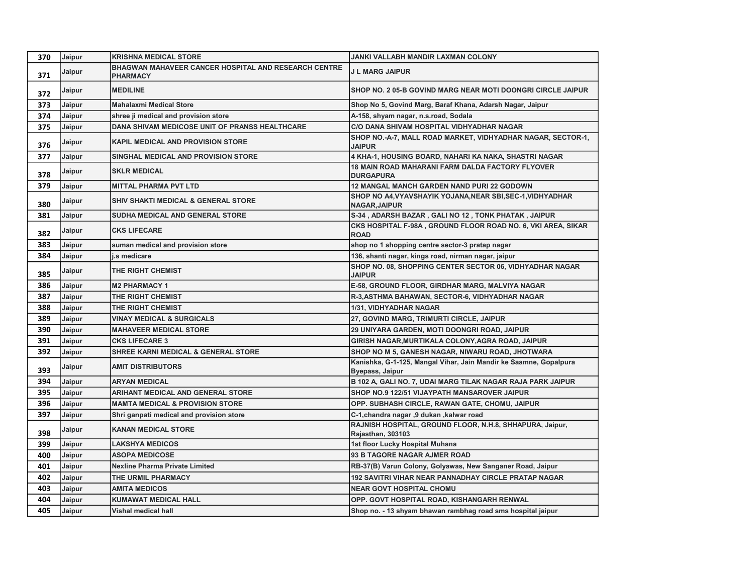| 370 | Jaipur | <b>KRISHNA MEDICAL STORE</b>                                            | <b>JANKI VALLABH MANDIR LAXMAN COLONY</b>                                            |
|-----|--------|-------------------------------------------------------------------------|--------------------------------------------------------------------------------------|
| 371 | Jaipur | BHAGWAN MAHAVEER CANCER HOSPITAL AND RESEARCH CENTRE<br><b>PHARMACY</b> | <b>J L MARG JAIPUR</b>                                                               |
| 372 | Jaipur | <b>MEDILINE</b>                                                         | SHOP NO. 2 05-B GOVIND MARG NEAR MOTI DOONGRI CIRCLE JAIPUR                          |
| 373 | Jaipur | <b>Mahalaxmi Medical Store</b>                                          | Shop No 5, Govind Marg, Baraf Khana, Adarsh Nagar, Jaipur                            |
| 374 | Jaipur | shree ji medical and provision store                                    | A-158, shyam nagar, n.s.road, Sodala                                                 |
| 375 | Jaipur | DANA SHIVAM MEDICOSE UNIT OF PRANSS HEALTHCARE                          | C/O DANA SHIVAM HOSPITAL VIDHYADHAR NAGAR                                            |
| 376 | Jaipur | KAPIL MEDICAL AND PROVISION STORE                                       | SHOP NO.-A-7, MALL ROAD MARKET, VIDHYADHAR NAGAR, SECTOR-1,<br><b>JAIPUR</b>         |
| 377 | Jaipur | SINGHAL MEDICAL AND PROVISION STORE                                     | 4 KHA-1, HOUSING BOARD, NAHARI KA NAKA, SHASTRI NAGAR                                |
| 378 | Jaipur | <b>SKLR MEDICAL</b>                                                     | 18 MAIN ROAD MAHARANI FARM DALDA FACTORY FLYOVER<br><b>DURGAPURA</b>                 |
| 379 | Jaipur | <b>MITTAL PHARMA PVT LTD</b>                                            | 12 MANGAL MANCH GARDEN NAND PURI 22 GODOWN                                           |
| 380 | Jaipur | SHIV SHAKTI MEDICAL & GENERAL STORE                                     | SHOP NO A4, VYAVSHAYIK YOJANA, NEAR SBI, SEC-1, VIDHYADHAR<br><b>NAGAR, JAIPUR</b>   |
| 381 | Jaipur | <b>SUDHA MEDICAL AND GENERAL STORE</b>                                  | S-34, ADARSH BAZAR, GALI NO 12, TONK PHATAK, JAIPUR                                  |
| 382 | Jaipur | <b>CKS LIFECARE</b>                                                     | CKS HOSPITAL F-98A, GROUND FLOOR ROAD NO. 6, VKI AREA, SIKAR<br><b>ROAD</b>          |
| 383 | Jaipur | suman medical and provision store                                       | shop no 1 shopping centre sector-3 pratap nagar                                      |
| 384 | Jaipur | j.s medicare                                                            | 136, shanti nagar, kings road, nirman nagar, jaipur                                  |
| 385 | Jaipur | THE RIGHT CHEMIST                                                       | SHOP NO. 08, SHOPPING CENTER SECTOR 06, VIDHYADHAR NAGAR<br><b>JAIPUR</b>            |
| 386 | Jaipur | <b>M2 PHARMACY 1</b>                                                    | E-58, GROUND FLOOR, GIRDHAR MARG, MALVIYA NAGAR                                      |
| 387 | Jaipur | THE RIGHT CHEMIST                                                       | R-3, ASTHMA BAHAWAN, SECTOR-6, VIDHYADHAR NAGAR                                      |
| 388 | Jaipur | THE RIGHT CHEMIST                                                       | 1/31, VIDHYADHAR NAGAR                                                               |
| 389 | Jaipur | <b>VINAY MEDICAL &amp; SURGICALS</b>                                    | 27, GOVIND MARG, TRIMURTI CIRCLE, JAIPUR                                             |
| 390 | Jaipur | <b>MAHAVEER MEDICAL STORE</b>                                           | 29 UNIYARA GARDEN, MOTI DOONGRI ROAD, JAIPUR                                         |
| 391 | Jaipur | <b>CKS LIFECARE 3</b>                                                   | GIRISH NAGAR, MURTIKALA COLONY, AGRA ROAD, JAIPUR                                    |
| 392 | Jaipur | <b>SHREE KARNI MEDICAL &amp; GENERAL STORE</b>                          | SHOP NO M 5, GANESH NAGAR, NIWARU ROAD, JHOTWARA                                     |
| 393 | Jaipur | <b>AMIT DISTRIBUTORS</b>                                                | Kanishka, G-1-125, Mangal Vihar, Jain Mandir ke Saamne, Gopalpura<br>Byepass, Jaipur |
| 394 | Jaipur | <b>ARYAN MEDICAL</b>                                                    | B 102 A, GALI NO. 7, UDAI MARG TILAK NAGAR RAJA PARK JAIPUR                          |
| 395 | Jaipur | <b>ARIHANT MEDICAL AND GENERAL STORE</b>                                | SHOP NO.9 122/51 VIJAYPATH MANSAROVER JAIPUR                                         |
| 396 | Jaipur | <b>MAMTA MEDICAL &amp; PROVISION STORE</b>                              | OPP. SUBHASH CIRCLE, RAWAN GATE, CHOMU, JAIPUR                                       |
| 397 | Jaipur | Shri ganpati medical and provision store                                | C-1, chandra nagar , 9 dukan, kalwar road                                            |
| 398 | Jaipur | <b>KANAN MEDICAL STORE</b>                                              | RAJNISH HOSPITAL, GROUND FLOOR, N.H.8, SHHAPURA, Jaipur,<br>Rajasthan, 303103        |
| 399 | Jaipur | <b>LAKSHYA MEDICOS</b>                                                  | 1st floor Lucky Hospital Muhana                                                      |
| 400 | Jaipur | ASOPA MEDICOSE                                                          | 93 B TAGORE NAGAR AJMER ROAD                                                         |
| 401 | Jaipur | <b>Nexline Pharma Private Limited</b>                                   | RB-37(B) Varun Colony, Golyawas, New Sanganer Road, Jaipur                           |
| 402 | Jaipur | THE URMIL PHARMACY                                                      | 192 SAVITRI VIHAR NEAR PANNADHAY CIRCLE PRATAP NAGAR                                 |
| 403 | Jaipur | <b>AMITA MEDICOS</b>                                                    | <b>NEAR GOVT HOSPITAL CHOMU</b>                                                      |
| 404 | Jaipur | <b>KUMAWAT MEDICAL HALL</b>                                             | OPP. GOVT HOSPITAL ROAD, KISHANGARH RENWAL                                           |
| 405 | Jaipur | Vishal medical hall                                                     | Shop no. - 13 shyam bhawan rambhag road sms hospital jaipur                          |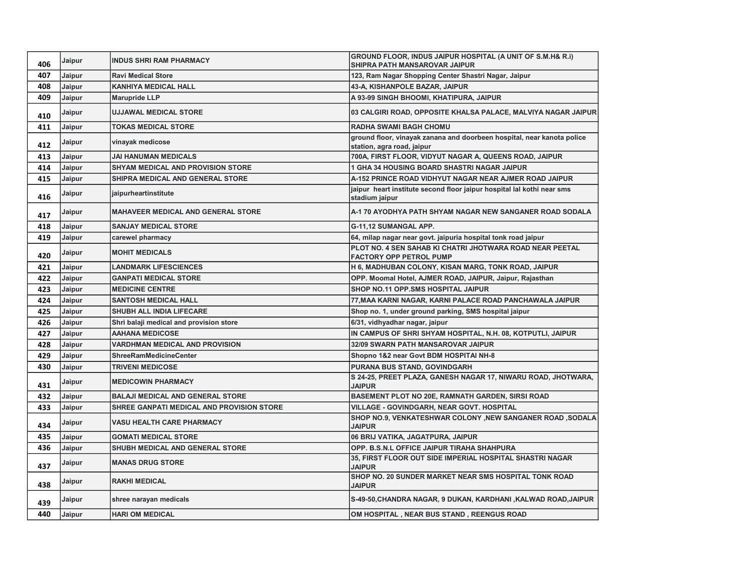| 406 | Jaipur | <b>INDUS SHRI RAM PHARMACY</b>            | GROUND FLOOR, INDUS JAIPUR HOSPITAL (A UNIT OF S.M.H& R.i)<br>SHIPRA PATH MANSAROVAR JAIPUR          |
|-----|--------|-------------------------------------------|------------------------------------------------------------------------------------------------------|
| 407 | Jaipur | <b>Ravi Medical Store</b>                 | 123, Ram Nagar Shopping Center Shastri Nagar, Jaipur                                                 |
| 408 | Jaipur | <b>KANHIYA MEDICAL HALL</b>               | 43-A, KISHANPOLE BAZAR, JAIPUR                                                                       |
| 409 | Jaipur | <b>Marupride LLP</b>                      | A 93-99 SINGH BHOOMI, KHATIPURA, JAIPUR                                                              |
| 410 | Jaipur | <b>UJJAWAL MEDICAL STORE</b>              | 03 CALGIRI ROAD, OPPOSITE KHALSA PALACE, MALVIYA NAGAR JAIPUR                                        |
| 411 | Jaipur | <b>TOKAS MEDICAL STORE</b>                | RADHA SWAMI BAGH CHOMU                                                                               |
| 412 | Jaipur | vinayak medicose                          | ground floor, vinayak zanana and doorbeen hospital, near kanota police<br>station, agra road, jaipur |
| 413 | Jaipur | <b>JAI HANUMAN MEDICALS</b>               | 700A, FIRST FLOOR, VIDYUT NAGAR A, QUEENS ROAD, JAIPUR                                               |
| 414 | Jaipur | <b>SHYAM MEDICAL AND PROVISION STORE</b>  | 1 GHA 34 HOUSING BOARD SHASTRI NAGAR JAIPUR                                                          |
| 415 | Jaipur | SHIPRA MEDICAL AND GENERAL STORE          | A-152 PRINCE ROAD VIDHYUT NAGAR NEAR AJMER ROAD JAIPUR                                               |
| 416 | Jaipur | jaipurheartinstitute                      | jaipur heart institute second floor jaipur hospital lal kothi near sms<br>stadium jaipur             |
| 417 | Jaipur | <b>MAHAVEER MEDICAL AND GENERAL STORE</b> | A-1 70 AYODHYA PATH SHYAM NAGAR NEW SANGANER ROAD SODALA                                             |
| 418 | Jaipur | <b>SANJAY MEDICAL STORE</b>               | G-11,12 SUMANGAL APP.                                                                                |
| 419 | Jaipur | carewel pharmacy                          | 64, milap nagar near govt. jaipuria hospital tonk road jaipur                                        |
| 420 | Jaipur | <b>MOHIT MEDICALS</b>                     | PLOT NO. 4 SEN SAHAB KI CHATRI JHOTWARA ROAD NEAR PEETAL<br><b>FACTORY OPP PETROL PUMP</b>           |
| 421 | Jaipur | <b>LANDMARK LIFESCIENCES</b>              | H 6, MADHUBAN COLONY, KISAN MARG, TONK ROAD, JAIPUR                                                  |
| 422 | Jaipur | <b>GANPATI MEDICAL STORE</b>              | OPP. Moomal Hotel, AJMER ROAD, JAIPUR, Jaipur, Rajasthan                                             |
| 423 | Jaipur | <b>MEDICINE CENTRE</b>                    | SHOP NO.11 OPP.SMS HOSPITAL JAIPUR                                                                   |
| 424 | Jaipur | <b>SANTOSH MEDICAL HALL</b>               | 77, MAA KARNI NAGAR, KARNI PALACE ROAD PANCHAWALA JAIPUR                                             |
| 425 | Jaipur | <b>SHUBH ALL INDIA LIFECARE</b>           | Shop no. 1, under ground parking, SMS hospital jaipur                                                |
| 426 | Jaipur | Shri balaji medical and provision store   | 6/31, vidhyadhar nagar, jaipur                                                                       |
| 427 | Jaipur | <b>AAHANA MEDICOSE</b>                    | IN CAMPUS OF SHRI SHYAM HOSPITAL, N.H. 08, KOTPUTLI, JAIPUR                                          |
| 428 | Jaipur | <b>VARDHMAN MEDICAL AND PROVISION</b>     | 32/09 SWARN PATH MANSAROVAR JAIPUR                                                                   |
| 429 | Jaipur | <b>ShreeRamMedicineCenter</b>             | Shopno 1&2 near Govt BDM HOSPITAI NH-8                                                               |
| 430 | Jaipur | <b>TRIVENI MEDICOSE</b>                   | PURANA BUS STAND, GOVINDGARH                                                                         |
| 431 | Jaipur | <b>MEDICOWIN PHARMACY</b>                 | S 24-25, PREET PLAZA, GANESH NAGAR 17, NIWARU ROAD, JHOTWARA,<br><b>JAIPUR</b>                       |
| 432 | Jaipur | <b>BALAJI MEDICAL AND GENERAL STORE</b>   | <b>BASEMENT PLOT NO 20E, RAMNATH GARDEN, SIRSI ROAD</b>                                              |
| 433 | Jaipur | SHREE GANPATI MEDICAL AND PROVISION STORE | VILLAGE - GOVINDGARH, NEAR GOVT. HOSPITAL                                                            |
| 434 | Jaipur | <b>VASU HEALTH CARE PHARMACY</b>          | SHOP NO.9, VENKATESHWAR COLONY , NEW SANGANER ROAD , SODALA<br><b>JAIPUR</b>                         |
| 435 | Jaipur | <b>GOMATI MEDICAL STORE</b>               | 06 BRIJ VATIKA, JAGATPURA, JAIPUR                                                                    |
| 436 | Jaipur | SHUBH MEDICAL AND GENERAL STORE           | OPP. B.S.N.L OFFICE JAIPUR TIRAHA SHAHPURA                                                           |
| 437 | Jaipur | <b>MANAS DRUG STORE</b>                   | 35, FIRST FLOOR OUT SIDE IMPERIAL HOSPITAL SHASTRI NAGAR<br><b>JAIPUR</b>                            |
| 438 | Jaipur | <b>RAKHI MEDICAL</b>                      | SHOP NO. 20 SUNDER MARKET NEAR SMS HOSPITAL TONK ROAD<br><b>JAIPUR</b>                               |
| 439 | Jaipur | shree narayan medicals                    | S-49-50, CHANDRA NAGAR, 9 DUKAN, KARDHANI, KALWAD ROAD, JAIPUR                                       |
| 440 | Jaipur | <b>HARI OM MEDICAL</b>                    | OM HOSPITAL, NEAR BUS STAND, REENGUS ROAD                                                            |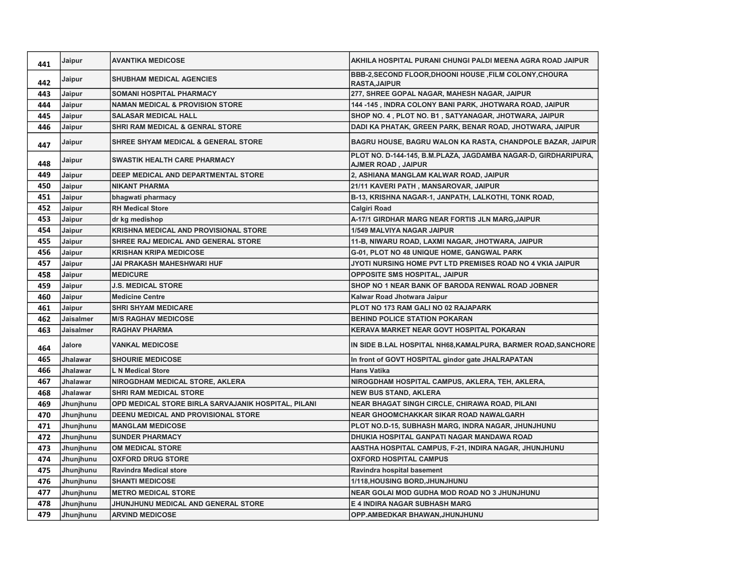| 441 | Jaipur           | <b>AVANTIKA MEDICOSE</b>                            | AKHILA HOSPITAL PURANI CHUNGI PALDI MEENA AGRA ROAD JAIPUR                                   |
|-----|------------------|-----------------------------------------------------|----------------------------------------------------------------------------------------------|
| 442 | Jaipur           | <b>SHUBHAM MEDICAL AGENCIES</b>                     | BBB-2, SECOND FLOOR, DHOONI HOUSE, FILM COLONY, CHOURA<br><b>RASTA, JAIPUR</b>               |
| 443 | Jaipur           | <b>SOMANI HOSPITAL PHARMACY</b>                     | 277, SHREE GOPAL NAGAR, MAHESH NAGAR, JAIPUR                                                 |
| 444 | Jaipur           | <b>NAMAN MEDICAL &amp; PROVISION STORE</b>          | 144-145, INDRA COLONY BANI PARK, JHOTWARA ROAD, JAIPUR                                       |
| 445 | Jaipur           | <b>SALASAR MEDICAL HALL</b>                         | SHOP NO. 4, PLOT NO. B1, SATYANAGAR, JHOTWARA, JAIPUR                                        |
| 446 | Jaipur           | <b>SHRI RAM MEDICAL &amp; GENRAL STORE</b>          | DADI KA PHATAK, GREEN PARK, BENAR ROAD, JHOTWARA, JAIPUR                                     |
| 447 | Jaipur           | SHREE SHYAM MEDICAL & GENERAL STORE                 | BAGRU HOUSE, BAGRU WALON KA RASTA, CHANDPOLE BAZAR, JAIPUR                                   |
| 448 | Jaipur           | <b>SWASTIK HEALTH CARE PHARMACY</b>                 | PLOT NO. D-144-145, B.M.PLAZA, JAGDAMBA NAGAR-D, GIRDHARIPURA,<br><b>AJMER ROAD , JAIPUR</b> |
| 449 | Jaipur           | DEEP MEDICAL AND DEPARTMENTAL STORE                 | 2, ASHIANA MANGLAM KALWAR ROAD, JAIPUR                                                       |
| 450 | Jaipur           | <b>NIKANT PHARMA</b>                                | 21/11 KAVERI PATH, MANSAROVAR, JAIPUR                                                        |
| 451 | Jaipur           | bhagwati pharmacy                                   | B-13, KRISHNA NAGAR-1, JANPATH, LALKOTHI, TONK ROAD,                                         |
| 452 | Jaipur           | <b>RH Medical Store</b>                             | Calgiri Road                                                                                 |
| 453 | Jaipur           | dr kg medishop                                      | A-17/1 GIRDHAR MARG NEAR FORTIS JLN MARG, JAIPUR                                             |
| 454 | Jaipur           | KRISHNA MEDICAL AND PROVISIONAL STORE               | <b>1/549 MALVIYA NAGAR JAIPUR</b>                                                            |
| 455 | Jaipur           | SHREE RAJ MEDICAL AND GENERAL STORE                 | 11-B, NIWARU ROAD, LAXMI NAGAR, JHOTWARA, JAIPUR                                             |
| 456 | Jaipur           | <b>KRISHAN KRIPA MEDICOSE</b>                       | <b>G-01, PLOT NO 48 UNIQUE HOME, GANGWAL PARK</b>                                            |
| 457 | Jaipur           | JAI PRAKASH MAHESHWARI HUF                          | JYOTI NURSING HOME PVT LTD PREMISES ROAD NO 4 VKIA JAIPUR                                    |
| 458 | Jaipur           | <b>MEDICURE</b>                                     | <b>OPPOSITE SMS HOSPITAL, JAIPUR</b>                                                         |
| 459 | Jaipur           | <b>J.S. MEDICAL STORE</b>                           | SHOP NO 1 NEAR BANK OF BARODA RENWAL ROAD JOBNER                                             |
| 460 | Jaipur           | <b>Medicine Centre</b>                              | Kalwar Road Jhotwara Jaipur                                                                  |
| 461 | Jaipur           | <b>SHRI SHYAM MEDICARE</b>                          | PLOT NO 173 RAM GALI NO 02 RAJAPARK                                                          |
| 462 | Jaisalmer        | <b>M/S RAGHAV MEDICOSE</b>                          | <b>BEHIND POLICE STATION POKARAN</b>                                                         |
| 463 | <b>Jaisalmer</b> | <b>RAGHAV PHARMA</b>                                | KERAVA MARKET NEAR GOVT HOSPITAL POKARAN                                                     |
| 464 | Jalore           | <b>VANKAL MEDICOSE</b>                              | IN SIDE B.LAL HOSPITAL NH68, KAMALPURA, BARMER ROAD, SANCHORE                                |
| 465 | <b>Jhalawar</b>  | <b>SHOURIE MEDICOSE</b>                             | In front of GOVT HOSPITAL gindor gate JHALRAPATAN                                            |
| 466 | Jhalawar         | <b>L N Medical Store</b>                            | <b>Hans Vatika</b>                                                                           |
| 467 | <b>Jhalawar</b>  | NIROGDHAM MEDICAL STORE, AKLERA                     | NIROGDHAM HOSPITAL CAMPUS, AKLERA, TEH, AKLERA,                                              |
| 468 | Jhalawar         | <b>SHRI RAM MEDICAL STORE</b>                       | <b>NEW BUS STAND, AKLERA</b>                                                                 |
| 469 | Jhunjhunu        | OPD MEDICAL STORE BIRLA SARVAJANIK HOSPITAL, PILANI | <b>NEAR BHAGAT SINGH CIRCLE, CHIRAWA ROAD, PILANI</b>                                        |
| 470 | Jhunjhunu        | DEENU MEDICAL AND PROVISIONAL STORE                 | NEAR GHOOMCHAKKAR SIKAR ROAD NAWALGARH                                                       |
| 471 | Jhunjhunu        | <b>MANGLAM MEDICOSE</b>                             | PLOT NO.D-15, SUBHASH MARG, INDRA NAGAR, JHUNJHUNU                                           |
| 472 | Jhunjhunu        | <b>SUNDER PHARMACY</b>                              | DHUKIA HOSPITAL GANPATI NAGAR MANDAWA ROAD                                                   |
| 473 | Jhunjhunu        | OM MEDICAL STORE                                    | AASTHA HOSPITAL CAMPUS, F-21, INDIRA NAGAR, JHUNJHUNU                                        |
| 474 | Jhunjhunu        | <b>OXFORD DRUG STORE</b>                            | <b>OXFORD HOSPITAL CAMPUS</b>                                                                |
| 475 | Jhunjhunu        | <b>Ravindra Medical store</b>                       | Ravindra hospital basement                                                                   |
| 476 | Jhunjhunu        | <b>SHANTI MEDICOSE</b>                              | 1/118, HOUSING BORD, JHUNJHUNU                                                               |
| 477 | Jhunjhunu        | <b>METRO MEDICAL STORE</b>                          | NEAR GOLAI MOD GUDHA MOD ROAD NO 3 JHUNJHUNU                                                 |
| 478 | Jhunjhunu        | JHUNJHUNU MEDICAL AND GENERAL STORE                 | E 4 INDIRA NAGAR SUBHASH MARG                                                                |
| 479 | Jhunjhunu        | <b>ARVIND MEDICOSE</b>                              | <b>OPP.AMBEDKAR BHAWAN, JHUNJHUNU</b>                                                        |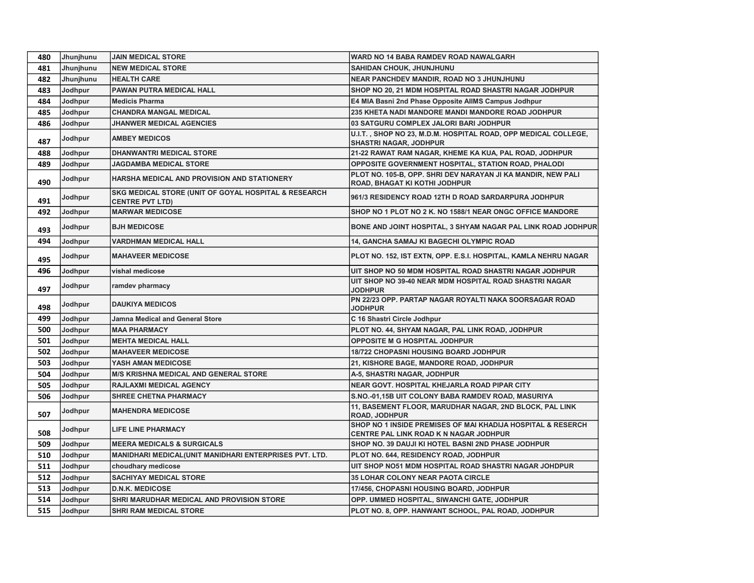| 480 | Jhunjhunu | <b>JAIN MEDICAL STORE</b>                                                                 | WARD NO 14 BABA RAMDEV ROAD NAWALGARH                                                                 |
|-----|-----------|-------------------------------------------------------------------------------------------|-------------------------------------------------------------------------------------------------------|
| 481 | Jhunjhunu | <b>NEW MEDICAL STORE</b>                                                                  | <b>SAHIDAN CHOUK, JHUNJHUNU</b>                                                                       |
| 482 | Jhunjhunu | <b>HEALTH CARE</b>                                                                        | <b>NEAR PANCHDEV MANDIR, ROAD NO 3 JHUNJHUNU</b>                                                      |
| 483 | Jodhpur   | PAWAN PUTRA MEDICAL HALL                                                                  | SHOP NO 20, 21 MDM HOSPITAL ROAD SHASTRI NAGAR JODHPUR                                                |
| 484 | Jodhpur   | <b>Medicis Pharma</b>                                                                     | E4 MIA Basni 2nd Phase Opposite AIIMS Campus Jodhpur                                                  |
| 485 | Jodhpur   | <b>CHANDRA MANGAL MEDICAL</b>                                                             | 235 KHETA NADI MANDORE MANDI MANDORE ROAD JODHPUR                                                     |
| 486 | Jodhpur   | <b>JHANWER MEDICAL AGENCIES</b>                                                           | 03 SATGURU COMPLEX JALORI BARI JODHPUR                                                                |
| 487 | Jodhpur   | <b>AMBEY MEDICOS</b>                                                                      | U.I.T., SHOP NO 23, M.D.M. HOSPITAL ROAD, OPP MEDICAL COLLEGE,<br><b>SHASTRI NAGAR, JODHPUR</b>       |
| 488 | Jodhpur   | <b>DHANWANTRI MEDICAL STORE</b>                                                           | 21-22 RAWAT RAM NAGAR, KHEME KA KUA, PAL ROAD, JODHPUR                                                |
| 489 | Jodhpur   | <b>JAGDAMBA MEDICAL STORE</b>                                                             | OPPOSITE GOVERNMENT HOSPITAL, STATION ROAD, PHALODI                                                   |
| 490 | Jodhpur   | HARSHA MEDICAL AND PROVISION AND STATIONERY                                               | PLOT NO. 105-B, OPP. SHRI DEV NARAYAN JI KA MANDIR, NEW PALI<br>ROAD, BHAGAT KI KOTHI JODHPUR         |
| 491 | Jodhpur   | <b>SKG MEDICAL STORE (UNIT OF GOYAL HOSPITAL &amp; RESEARCH</b><br><b>CENTRE PVT LTD)</b> | 961/3 RESIDENCY ROAD 12TH D ROAD SARDARPURA JODHPUR                                                   |
| 492 | Jodhpur   | <b>MARWAR MEDICOSE</b>                                                                    | SHOP NO 1 PLOT NO 2 K. NO 1588/1 NEAR ONGC OFFICE MANDORE                                             |
| 493 | Jodhpur   | <b>BJH MEDICOSE</b>                                                                       | BONE AND JOINT HOSPITAL, 3 SHYAM NAGAR PAL LINK ROAD JODHPUR                                          |
| 494 | Jodhpur   | <b>VARDHMAN MEDICAL HALL</b>                                                              | <b>14, GANCHA SAMAJ KI BAGECHI OLYMPIC ROAD</b>                                                       |
| 495 | Jodhpur   | <b>MAHAVEER MEDICOSE</b>                                                                  | PLOT NO. 152, IST EXTN, OPP. E.S.I. HOSPITAL, KAMLA NEHRU NAGAR                                       |
| 496 | Jodhpur   | vishal medicose                                                                           | UIT SHOP NO 50 MDM HOSPITAL ROAD SHASTRI NAGAR JODHPUR                                                |
| 497 | Jodhpur   | ramdev pharmacy                                                                           | UIT SHOP NO 39-40 NEAR MDM HOSPITAL ROAD SHASTRI NAGAR<br><b>JODHPUR</b>                              |
| 498 | Jodhpur   | <b>DAUKIYA MEDICOS</b>                                                                    | PN 22/23 OPP. PARTAP NAGAR ROYALTI NAKA SOORSAGAR ROAD<br><b>JODHPUR</b>                              |
| 499 | Jodhpur   | <b>Jamna Medical and General Store</b>                                                    | C 16 Shastri Circle Jodhpur                                                                           |
| 500 | Jodhpur   | <b>MAA PHARMACY</b>                                                                       | PLOT NO. 44, SHYAM NAGAR, PAL LINK ROAD, JODHPUR                                                      |
| 501 | Jodhpur   | <b>MEHTA MEDICAL HALL</b>                                                                 | <b>OPPOSITE M G HOSPITAL JODHPUR</b>                                                                  |
| 502 | Jodhpur   | <b>MAHAVEER MEDICOSE</b>                                                                  | 18/722 CHOPASNI HOUSING BOARD JODHPUR                                                                 |
| 503 | Jodhpur   | YASH AMAN MEDICOSE                                                                        | 21, KISHORE BAGE, MANDORE ROAD, JODHPUR                                                               |
| 504 | Jodhpur   | <b>M/S KRISHNA MEDICAL AND GENERAL STORE</b>                                              | A-5, SHASTRI NAGAR, JODHPUR                                                                           |
| 505 | Jodhpur   | RAJLAXMI MEDICAL AGENCY                                                                   | NEAR GOVT. HOSPITAL KHEJARLA ROAD PIPAR CITY                                                          |
| 506 | Jodhpur   | <b>SHREE CHETNA PHARMACY</b>                                                              | S.NO.-01,15B UIT COLONY BABA RAMDEV ROAD, MASURIYA                                                    |
| 507 | Jodhpur   | <b>MAHENDRA MEDICOSE</b>                                                                  | 11, BASEMENT FLOOR, MARUDHAR NAGAR, 2ND BLOCK, PAL LINK<br><b>ROAD, JODHPUR</b>                       |
| 508 | Jodhpur   | <b>LIFE LINE PHARMACY</b>                                                                 | SHOP NO 1 INSIDE PREMISES OF MAI KHADIJA HOSPITAL & RESERCH<br>CENTRE PAL LINK ROAD K N NAGAR JODHPUR |
| 509 | Jodhpur   | <b>MEERA MEDICALS &amp; SURGICALS</b>                                                     | SHOP NO. 39 DAUJI KI HOTEL BASNI 2ND PHASE JODHPUR                                                    |
| 510 | Jodhpur   | MANIDHARI MEDICAL(UNIT MANIDHARI ENTERPRISES PVT. LTD.                                    | PLOT NO. 644, RESIDENCY ROAD, JODHPUR                                                                 |
| 511 | Jodhpur   | choudhary medicose                                                                        | UIT SHOP NO51 MDM HOSPITAL ROAD SHASTRI NAGAR JOHDPUR                                                 |
| 512 | Jodhpur   | <b>SACHIYAY MEDICAL STORE</b>                                                             | 35 LOHAR COLONY NEAR PAOTA CIRCLE                                                                     |
| 513 | Jodhpur   | <b>D.N.K. MEDICOSE</b>                                                                    | 17/456, CHOPASNI HOUSING BOARD, JODHPUR                                                               |
| 514 | Jodhpur   | SHRI MARUDHAR MEDICAL AND PROVISION STORE                                                 | OPP. UMMED HOSPITAL, SIWANCHI GATE, JODHPUR                                                           |
| 515 | Jodhpur   | <b>SHRI RAM MEDICAL STORE</b>                                                             | PLOT NO. 8, OPP. HANWANT SCHOOL, PAL ROAD, JODHPUR                                                    |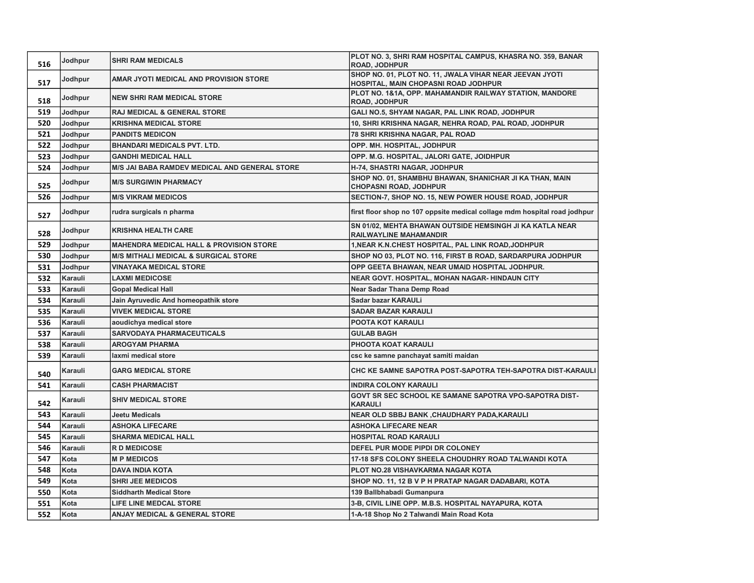| 516 | Jodhpur | <b>SHRI RAM MEDICALS</b>                             | PLOT NO. 3, SHRI RAM HOSPITAL CAMPUS, KHASRA NO. 359, BANAR<br>ROAD, JODHPUR                    |
|-----|---------|------------------------------------------------------|-------------------------------------------------------------------------------------------------|
| 517 | Jodhpur | AMAR JYOTI MEDICAL AND PROVISION STORE               | SHOP NO. 01, PLOT NO. 11, JWALA VIHAR NEAR JEEVAN JYOTI<br>HOSPITAL, MAIN CHOPASNI ROAD JODHPUR |
| 518 | Jodhpur | <b>NEW SHRI RAM MEDICAL STORE</b>                    | PLOT NO. 1&1A, OPP. MAHAMANDIR RAILWAY STATION, MANDORE<br><b>ROAD, JODHPUR</b>                 |
| 519 | Jodhpur | <b>RAJ MEDICAL &amp; GENERAL STORE</b>               | GALI NO.5, SHYAM NAGAR, PAL LINK ROAD, JODHPUR                                                  |
| 520 | Jodhpur | <b>KRISHNA MEDICAL STORE</b>                         | 10, SHRI KRISHNA NAGAR, NEHRA ROAD, PAL ROAD, JODHPUR                                           |
| 521 | Jodhpur | <b>PANDITS MEDICON</b>                               | 78 SHRI KRISHNA NAGAR, PAL ROAD                                                                 |
| 522 | Jodhpur | <b>BHANDARI MEDICALS PVT. LTD.</b>                   | OPP. MH. HOSPITAL, JODHPUR                                                                      |
| 523 | Jodhpur | <b>GANDHI MEDICAL HALL</b>                           | OPP. M.G. HOSPITAL, JALORI GATE, JOIDHPUR                                                       |
| 524 | Jodhpur | <b>M/S JAI BABA RAMDEV MEDICAL AND GENERAL STORE</b> | H-74, SHASTRI NAGAR, JODHPUR                                                                    |
| 525 | Jodhpur | <b>M/S SURGIWIN PHARMACY</b>                         | SHOP NO. 01, SHAMBHU BHAWAN, SHANICHAR JI KA THAN, MAIN<br>CHOPASNI ROAD, JODHPUR               |
| 526 | Jodhpur | <b>M/S VIKRAM MEDICOS</b>                            | SECTION-7, SHOP NO. 15, NEW POWER HOUSE ROAD, JODHPUR                                           |
| 527 | Jodhpur | rudra surgicals n pharma                             | first floor shop no 107 oppsite medical collage mdm hospital road jodhpur                       |
| 528 | Jodhpur | <b>KRISHNA HEALTH CARE</b>                           | SN 01/02, MEHTA BHAWAN OUTSIDE HEMSINGH JI KA KATLA NEAR<br><b>RAILWAYLINE MAHAMANDIR</b>       |
| 529 | Jodhpur | <b>MAHENDRA MEDICAL HALL &amp; PROVISION STORE</b>   | 1, NEAR K.N.CHEST HOSPITAL, PAL LINK ROAD, JODHPUR                                              |
| 530 | Jodhpur | <b>M/S MITHALI MEDICAL &amp; SURGICAL STORE</b>      | SHOP NO 03, PLOT NO. 116, FIRST B ROAD, SARDARPURA JODHPUR                                      |
| 531 | Jodhpur | <b>VINAYAKA MEDICAL STORE</b>                        | OPP GEETA BHAWAN, NEAR UMAID HOSPITAL JODHPUR.                                                  |
| 532 | Karauli | <b>LAXMI MEDICOSE</b>                                | NEAR GOVT. HOSPITAL, MOHAN NAGAR-HINDAUN CITY                                                   |
| 533 | Karauli | <b>Gopal Medical Hall</b>                            | Near Sadar Thana Demp Road                                                                      |
| 534 | Karauli | Jain Ayruvedic And homeopathik store                 | Sadar bazar KARAULi                                                                             |
| 535 | Karauli | <b>VIVEK MEDICAL STORE</b>                           | <b>SADAR BAZAR KARAULI</b>                                                                      |
| 536 | Karauli | aoudichya medical store                              | POOTA KOT KARAULI                                                                               |
| 537 | Karauli | <b>SARVODAYA PHARMACEUTICALS</b>                     | <b>GULAB BAGH</b>                                                                               |
| 538 | Karauli | AROGYAM PHARMA                                       | PHOOTA KOAT KARAULI                                                                             |
| 539 | Karauli | laxmi medical store                                  | csc ke samne panchayat samiti maidan                                                            |
| 540 | Karauli | <b>GARG MEDICAL STORE</b>                            | CHC KE SAMNE SAPOTRA POST-SAPOTRA TEH-SAPOTRA DIST-KARAULI                                      |
| 541 | Karauli | <b>CASH PHARMACIST</b>                               | <b>INDIRA COLONY KARAULI</b>                                                                    |
| 542 | Karauli | <b>SHIV MEDICAL STORE</b>                            | GOVT SR SEC SCHOOL KE SAMANE SAPOTRA VPO-SAPOTRA DIST-<br><b>KARAULI</b>                        |
| 543 | Karauli | Jeetu Medicals                                       | NEAR OLD SBBJ BANK ,CHAUDHARY PADA,KARAULI                                                      |
| 544 | Karauli | <b>ASHOKA LIFECARE</b>                               | <b>ASHOKA LIFECARE NEAR</b>                                                                     |
| 545 | Karauli | <b>SHARMA MEDICAL HALL</b>                           | <b>HOSPITAL ROAD KARAULI</b>                                                                    |
| 546 | Karauli | <b>RD MEDICOSE</b>                                   | DEFEL PUR MODE PIPDI DR COLONEY                                                                 |
| 547 | Kota    | <b>MP MEDICOS</b>                                    | 17-18 SFS COLONY SHEELA CHOUDHRY ROAD TALWANDI KOTA                                             |
| 548 | Kota    | <b>DAVA INDIA KOTA</b>                               | PLOT NO.28 VISHAVKARMA NAGAR KOTA                                                               |
| 549 | Kota    | <b>SHRI JEE MEDICOS</b>                              | SHOP NO. 11, 12 B V P H PRATAP NAGAR DADABARI, KOTA                                             |
| 550 | Kota    | <b>Siddharth Medical Store</b>                       | 139 Ballbhabadi Gumanpura                                                                       |
| 551 | Kota    | <b>LIFE LINE MEDCAL STORE</b>                        | 3-B, CIVIL LINE OPP. M.B.S. HOSPITAL NAYAPURA, KOTA                                             |
| 552 | Kota    | <b>ANJAY MEDICAL &amp; GENERAL STORE</b>             | 1-A-18 Shop No 2 Talwandi Main Road Kota                                                        |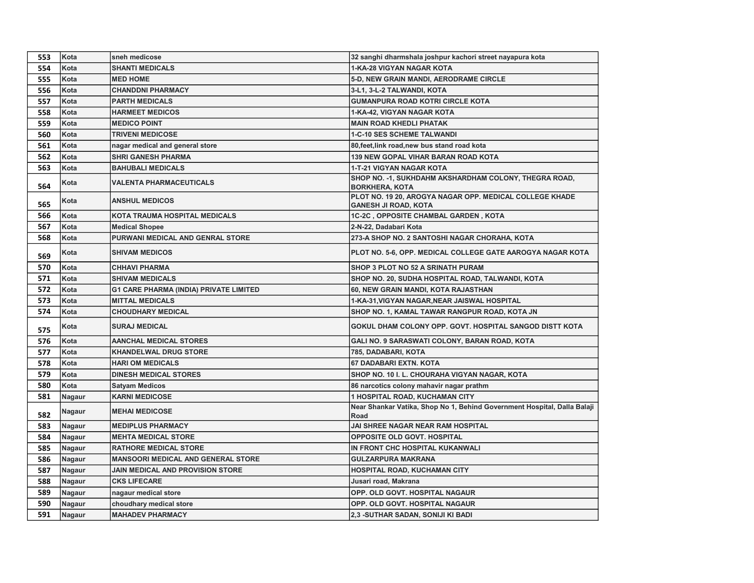| 553 | Kota   | sneh medicose                                 | 32 sanghi dharmshala joshpur kachori street nayapura kota                              |
|-----|--------|-----------------------------------------------|----------------------------------------------------------------------------------------|
| 554 | Kota   | <b>SHANTI MEDICALS</b>                        | 1-KA-28 VIGYAN NAGAR KOTA                                                              |
| 555 | Kota   | <b>MED HOME</b>                               | 5-D, NEW GRAIN MANDI, AERODRAME CIRCLE                                                 |
| 556 | Kota   | <b>CHANDDNI PHARMACY</b>                      | 3-L1, 3-L-2 TALWANDI, KOTA                                                             |
| 557 | Kota   | <b>PARTH MEDICALS</b>                         | <b>GUMANPURA ROAD KOTRI CIRCLE KOTA</b>                                                |
| 558 | Kota   | <b>HARMEET MEDICOS</b>                        | 1-KA-42, VIGYAN NAGAR KOTA                                                             |
| 559 | Kota   | <b>MEDICO POINT</b>                           | <b>MAIN ROAD KHEDLI PHATAK</b>                                                         |
| 560 | Kota   | <b>TRIVENI MEDICOSE</b>                       | <b>1-C-10 SES SCHEME TALWANDI</b>                                                      |
| 561 | Kota   | nagar medical and general store               | 80, feet, link road, new bus stand road kota                                           |
| 562 | Kota   | <b>SHRI GANESH PHARMA</b>                     | 139 NEW GOPAL VIHAR BARAN ROAD KOTA                                                    |
| 563 | Kota   | <b>BAHUBALI MEDICALS</b>                      | 1-T-21 VIGYAN NAGAR KOTA                                                               |
| 564 | Kota   | <b>VALENTA PHARMACEUTICALS</b>                | SHOP NO. - 1, SUKHDAHM AKSHARDHAM COLONY, THEGRA ROAD,<br><b>BORKHERA, KOTA</b>        |
| 565 | Kota   | <b>ANSHUL MEDICOS</b>                         | PLOT NO. 19 20, AROGYA NAGAR OPP. MEDICAL COLLEGE KHADE<br><b>GANESH JI ROAD, KOTA</b> |
| 566 | Kota   | <b>KOTA TRAUMA HOSPITAL MEDICALS</b>          | 1C-2C, OPPOSITE CHAMBAL GARDEN, KOTA                                                   |
| 567 | Kota   | <b>Medical Shopee</b>                         | 2-N-22, Dadabari Kota                                                                  |
| 568 | Kota   | PURWANI MEDICAL AND GENRAL STORE              | 273-A SHOP NO. 2 SANTOSHI NAGAR CHORAHA, KOTA                                          |
| 569 | Kota   | <b>SHIVAM MEDICOS</b>                         | PLOT NO. 5-6, OPP. MEDICAL COLLEGE GATE AAROGYA NAGAR KOTA                             |
| 570 | Kota   | <b>CHHAVI PHARMA</b>                          | SHOP 3 PLOT NO 52 A SRINATH PURAM                                                      |
| 571 | Kota   | <b>SHIVAM MEDICALS</b>                        | SHOP NO. 20, SUDHA HOSPITAL ROAD, TALWANDI, KOTA                                       |
| 572 | Kota   | <b>G1 CARE PHARMA (INDIA) PRIVATE LIMITED</b> | 60, NEW GRAIN MANDI, KOTA RAJASTHAN                                                    |
| 573 | Kota   | <b>MITTAL MEDICALS</b>                        | 1-KA-31, VIGYAN NAGAR, NEAR JAISWAL HOSPITAL                                           |
| 574 | Kota   | <b>CHOUDHARY MEDICAL</b>                      | SHOP NO. 1, KAMAL TAWAR RANGPUR ROAD, KOTA JN                                          |
| 575 | Kota   | <b>SURAJ MEDICAL</b>                          | GOKUL DHAM COLONY OPP. GOVT. HOSPITAL SANGOD DISTT KOTA                                |
| 576 | Kota   | <b>AANCHAL MEDICAL STORES</b>                 | GALI NO. 9 SARASWATI COLONY, BARAN ROAD, KOTA                                          |
| 577 | Kota   | <b>KHANDELWAL DRUG STORE</b>                  | 785, DADABARI, KOTA                                                                    |
| 578 | Kota   | <b>HARI OM MEDICALS</b>                       | 67 DADABARI EXTN. KOTA                                                                 |
| 579 | Kota   | <b>DINESH MEDICAL STORES</b>                  | SHOP NO. 10 I. L. CHOURAHA VIGYAN NAGAR, KOTA                                          |
| 580 | Kota   | <b>Satyam Medicos</b>                         | 86 narcotics colony mahavir nagar prathm                                               |
| 581 | Nagaur | <b>KARNI MEDICOSE</b>                         | 1 HOSPITAL ROAD, KUCHAMAN CITY                                                         |
| 582 | Nagaur | <b>MEHAI MEDICOSE</b>                         | Near Shankar Vatika, Shop No 1, Behind Government Hospital, Dalla Balaji<br>Road       |
| 583 | Nagaur | <b>MEDIPLUS PHARMACY</b>                      | JAI SHREE NAGAR NEAR RAM HOSPITAL                                                      |
| 584 | Nagaur | <b>MEHTA MEDICAL STORE</b>                    | <b>OPPOSITE OLD GOVT. HOSPITAL</b>                                                     |
| 585 | Nagaur | <b>RATHORE MEDICAL STORE</b>                  | IN FRONT CHC HOSPITAL KUKANWALI                                                        |
| 586 | Nagaur | <b>MANSOORI MEDICAL AND GENERAL STORE</b>     | <b>GULZARPURA MAKRANA</b>                                                              |
| 587 | Nagaur | <b>JAIN MEDICAL AND PROVISION STORE</b>       | HOSPITAL ROAD, KUCHAMAN CITY                                                           |
| 588 | Nagaur | <b>CKS LIFECARE</b>                           | Jusari road, Makrana                                                                   |
| 589 | Nagaur | nagaur medical store                          | OPP. OLD GOVT. HOSPITAL NAGAUR                                                         |
| 590 | Nagaur | choudhary medical store                       | OPP. OLD GOVT. HOSPITAL NAGAUR                                                         |
| 591 | Nagaur | <b>MAHADEV PHARMACY</b>                       | 2,3 - SUTHAR SADAN, SONIJI KI BADI                                                     |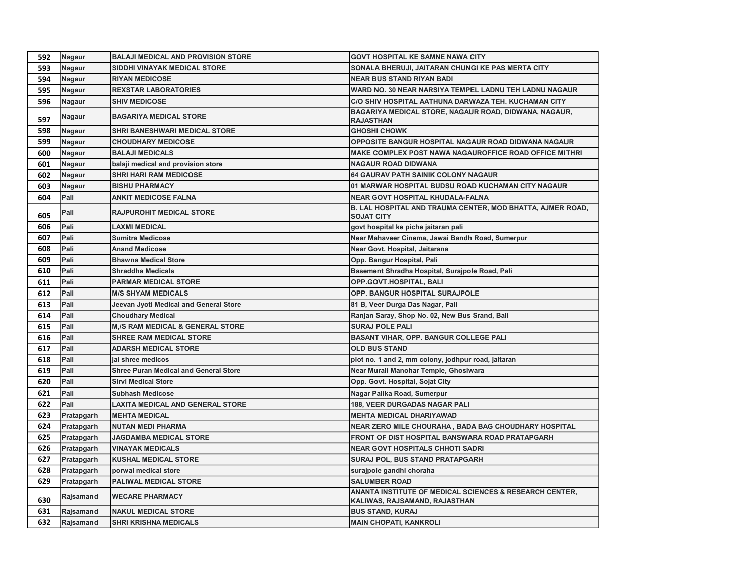| 592 | Nagaur        | <b>BALAJI MEDICAL AND PROVISION STORE</b>    | <b>GOVT HOSPITAL KE SAMNE NAWA CITY</b>                                                             |
|-----|---------------|----------------------------------------------|-----------------------------------------------------------------------------------------------------|
| 593 | Nagaur        | SIDDHI VINAYAK MEDICAL STORE                 | SONALA BHERUJI, JAITARAN CHUNGI KE PAS MERTA CITY                                                   |
| 594 | Nagaur        | <b>RIYAN MEDICOSE</b>                        | <b>NEAR BUS STAND RIYAN BADI</b>                                                                    |
| 595 | Nagaur        | <b>REXSTAR LABORATORIES</b>                  | WARD NO. 30 NEAR NARSIYA TEMPEL LADNU TEH LADNU NAGAUR                                              |
| 596 | Nagaur        | <b>SHIV MEDICOSE</b>                         | C/O SHIV HOSPITAL AATHUNA DARWAZA TEH. KUCHAMAN CITY                                                |
| 597 | Nagaur        | <b>BAGARIYA MEDICAL STORE</b>                | BAGARIYA MEDICAL STORE, NAGAUR ROAD, DIDWANA, NAGAUR,<br><b>RAJASTHAN</b>                           |
| 598 | Nagaur        | <b>SHRI BANESHWARI MEDICAL STORE</b>         | <b>GHOSHI CHOWK</b>                                                                                 |
| 599 | <b>Nagaur</b> | <b>CHOUDHARY MEDICOSE</b>                    | OPPOSITE BANGUR HOSPITAL NAGAUR ROAD DIDWANA NAGAUR                                                 |
| 600 | Nagaur        | <b>BALAJI MEDICALS</b>                       | MAKE COMPLEX POST NAWA NAGAUROFFICE ROAD OFFICE MITHRI                                              |
| 601 | Nagaur        | balaji medical and provision store           | <b>NAGAUR ROAD DIDWANA</b>                                                                          |
| 602 | Nagaur        | <b>SHRI HARI RAM MEDICOSE</b>                | 64 GAURAV PATH SAINIK COLONY NAGAUR                                                                 |
| 603 | Nagaur        | <b>BISHU PHARMACY</b>                        | 01 MARWAR HOSPITAL BUDSU ROAD KUCHAMAN CITY NAGAUR                                                  |
| 604 | Pali          | <b>ANKIT MEDICOSE FALNA</b>                  | NEAR GOVT HOSPITAL KHUDALA-FALNA                                                                    |
| 605 | Pali          | <b>RAJPUROHIT MEDICAL STORE</b>              | B. LAL HOSPITAL AND TRAUMA CENTER, MOD BHATTA, AJMER ROAD,<br><b>SOJAT CITY</b>                     |
| 606 | Pali          | <b>LAXMI MEDICAL</b>                         | govt hospital ke piche jaitaran pali                                                                |
| 607 | Pali          | <b>Sumitra Medicose</b>                      | Near Mahaveer Cinema, Jawai Bandh Road, Sumerpur                                                    |
| 608 | Pali          | <b>Anand Medicose</b>                        | Near Govt. Hospital, Jaitarana                                                                      |
| 609 | Pali          | <b>Bhawna Medical Store</b>                  | Opp. Bangur Hospital, Pali                                                                          |
| 610 | Pali          | <b>Shraddha Medicals</b>                     | Basement Shradha Hospital, Surajpole Road, Pali                                                     |
| 611 | Pali          | <b>PARMAR MEDICAL STORE</b>                  | OPP.GOVT.HOSPITAL, BALI                                                                             |
| 612 | Pali          | <b>M/S SHYAM MEDICALS</b>                    | OPP. BANGUR HOSPITAL SURAJPOLE                                                                      |
| 613 | Pali          | Jeevan Jyoti Medical and General Store       | 81 B, Veer Durga Das Nagar, Pali                                                                    |
| 614 | Pali          | <b>Choudhary Medical</b>                     | Ranjan Saray, Shop No. 02, New Bus Srand, Bali                                                      |
| 615 | Pali          | <b>M,/S RAM MEDICAL &amp; GENERAL STORE</b>  | <b>SURAJ POLE PALI</b>                                                                              |
| 616 | Pali          | <b>SHREE RAM MEDICAL STORE</b>               | BASANT VIHAR, OPP. BANGUR COLLEGE PALI                                                              |
| 617 | Pali          | <b>ADARSH MEDICAL STORE</b>                  | <b>OLD BUS STAND</b>                                                                                |
| 618 | Pali          | iai shree medicos                            | plot no. 1 and 2, mm colony, jodhpur road, jaitaran                                                 |
| 619 | Pali          | <b>Shree Puran Medical and General Store</b> | Near Murali Manohar Temple, Ghosiwara                                                               |
| 620 | Pali          | <b>Sirvi Medical Store</b>                   | Opp. Govt. Hospital, Sojat City                                                                     |
| 621 | Pali          | <b>Subhash Medicose</b>                      | Nagar Palika Road, Sumerpur                                                                         |
| 622 | Pali          | LAXITA MEDICAL AND GENERAL STORE             | 188, VEER DURGADAS NAGAR PALI                                                                       |
| 623 | Pratapgarh    | <b>MEHTA MEDICAL</b>                         | <b>MEHTA MEDICAL DHARIYAWAD</b>                                                                     |
| 624 | Pratapgarh    | <b>NUTAN MEDI PHARMA</b>                     | NEAR ZERO MILE CHOURAHA, BADA BAG CHOUDHARY HOSPITAL                                                |
| 625 | Pratapgarh    | <b>JAGDAMBA MEDICAL STORE</b>                | FRONT OF DIST HOSPITAL BANSWARA ROAD PRATAPGARH                                                     |
| 626 | Pratapgarh    | <b>VINAYAK MEDICALS</b>                      | <b>NEAR GOVT HOSPITALS CHHOTI SADRI</b>                                                             |
| 627 | Pratapgarh    | <b>KUSHAL MEDICAL STORE</b>                  | SURAJ POL, BUS STAND PRATAPGARH                                                                     |
| 628 | Pratapgarh    | porwal medical store                         | surajpole gandhi choraha                                                                            |
| 629 | Pratapgarh    | <b>PALIWAL MEDICAL STORE</b>                 | <b>SALUMBER ROAD</b>                                                                                |
| 630 | Rajsamand     | <b>WECARE PHARMACY</b>                       | <b>ANANTA INSTITUTE OF MEDICAL SCIENCES &amp; RESEARCH CENTER,</b><br>KALIWAS, RAJSAMAND, RAJASTHAN |
| 631 | Rajsamand     | <b>NAKUL MEDICAL STORE</b>                   | <b>BUS STAND, KURAJ</b>                                                                             |
| 632 | Rajsamand     | <b>SHRI KRISHNA MEDICALS</b>                 | <b>MAIN CHOPATI, KANKROLI</b>                                                                       |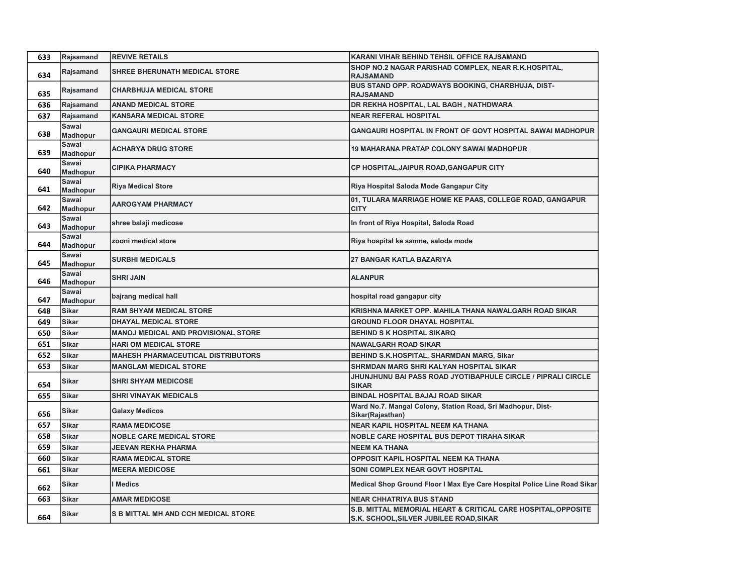| 633 | Rajsamand                | <b>REVIVE RETAILS</b>                      | KARANI VIHAR BEHIND TEHSIL OFFICE RAJSAMAND                                                              |
|-----|--------------------------|--------------------------------------------|----------------------------------------------------------------------------------------------------------|
| 634 | Rajsamand                | <b>SHREE BHERUNATH MEDICAL STORE</b>       | SHOP NO.2 NAGAR PARISHAD COMPLEX, NEAR R.K.HOSPITAL,<br><b>RAJSAMAND</b>                                 |
| 635 | Rajsamand                | <b>CHARBHUJA MEDICAL STORE</b>             | BUS STAND OPP. ROADWAYS BOOKING, CHARBHUJA, DIST-<br><b>RAJSAMAND</b>                                    |
| 636 | Rajsamand                | <b>ANAND MEDICAL STORE</b>                 | DR REKHA HOSPITAL, LAL BAGH, NATHDWARA                                                                   |
| 637 | Rajsamand                | <b>KANSARA MEDICAL STORE</b>               | <b>NEAR REFERAL HOSPITAL</b>                                                                             |
| 638 | Sawai<br>Madhopur        | <b>GANGAURI MEDICAL STORE</b>              | GANGAURI HOSPITAL IN FRONT OF GOVT HOSPITAL SAWAI MADHOPUR                                               |
| 639 | Sawai<br><b>Madhopur</b> | <b>ACHARYA DRUG STORE</b>                  | 19 MAHARANA PRATAP COLONY SAWAI MADHOPUR                                                                 |
| 640 | Sawai<br><b>Madhopur</b> | <b>CIPIKA PHARMACY</b>                     | CP HOSPITAL, JAIPUR ROAD, GANGAPUR CITY                                                                  |
| 641 | Sawai<br>Madhopur        | <b>Riya Medical Store</b>                  | Riya Hospital Saloda Mode Gangapur City                                                                  |
| 642 | Sawai<br><b>Madhopur</b> | <b>AAROGYAM PHARMACY</b>                   | 01, TULARA MARRIAGE HOME KE PAAS, COLLEGE ROAD, GANGAPUR<br><b>CITY</b>                                  |
| 643 | Sawai<br><b>Madhopur</b> | shree balaji medicose                      | In front of Riya Hospital, Saloda Road                                                                   |
| 644 | Sawai<br>Madhopur        | zooni medical store                        | Riya hospital ke samne, saloda mode                                                                      |
| 645 | Sawai<br>Madhopur        | <b>SURBHI MEDICALS</b>                     | <b>27 BANGAR KATLA BAZARIYA</b>                                                                          |
| 646 | Sawai<br><b>Madhopur</b> | <b>SHRI JAIN</b>                           | <b>ALANPUR</b>                                                                                           |
| 647 | Sawai<br><b>Madhopur</b> | bajrang medical hall                       | hospital road gangapur city                                                                              |
| 648 | <b>Sikar</b>             | <b>RAM SHYAM MEDICAL STORE</b>             | KRISHNA MARKET OPP. MAHILA THANA NAWALGARH ROAD SIKAR                                                    |
| 649 | <b>Sikar</b>             | <b>DHAYAL MEDICAL STORE</b>                | <b>GROUND FLOOR DHAYAL HOSPITAL</b>                                                                      |
| 650 | <b>Sikar</b>             | MANOJ MEDICAL AND PROVISIONAL STORE        | <b>BEHIND S K HOSPITAL SIKARQ</b>                                                                        |
| 651 | <b>Sikar</b>             | <b>HARI OM MEDICAL STORE</b>               | <b>NAWALGARH ROAD SIKAR</b>                                                                              |
| 652 | <b>Sikar</b>             | <b>MAHESH PHARMACEUTICAL DISTRIBUTORS</b>  | BEHIND S.K.HOSPITAL, SHARMDAN MARG, Sikar                                                                |
| 653 | <b>Sikar</b>             | <b>MANGLAM MEDICAL STORE</b>               | SHRMDAN MARG SHRI KALYAN HOSPITAL SIKAR                                                                  |
| 654 | Sikar                    | <b>SHRI SHYAM MEDICOSE</b>                 | JHUNJHUNU BAI PASS ROAD JYOTIBAPHULE CIRCLE / PIPRALI CIRCLE<br><b>SIKAR</b>                             |
| 655 | <b>Sikar</b>             | <b>SHRI VINAYAK MEDICALS</b>               | <b>BINDAL HOSPITAL BAJAJ ROAD SIKAR</b>                                                                  |
| 656 | Sikar                    | <b>Galaxy Medicos</b>                      | Ward No.7. Mangal Colony, Station Road, Sri Madhopur, Dist-<br>Sikar(Rajasthan)                          |
| 657 | Sikar                    | <b>RAMA MEDICOSE</b>                       | <b>NEAR KAPIL HOSPITAL NEEM KA THANA</b>                                                                 |
| 658 | <b>Sikar</b>             | <b>NOBLE CARE MEDICAL STORE</b>            | NOBLE CARE HOSPITAL BUS DEPOT TIRAHA SIKAR                                                               |
| 659 | <b>Sikar</b>             | JEEVAN REKHA PHARMA                        | <b>NEEM KA THANA</b>                                                                                     |
| 660 | <b>Sikar</b>             | <b>RAMA MEDICAL STORE</b>                  | OPPOSIT KAPIL HOSPITAL NEEM KA THANA                                                                     |
| 661 | <b>Sikar</b>             | <b>MEERA MEDICOSE</b>                      | SONI COMPLEX NEAR GOVT HOSPITAL                                                                          |
| 662 | Sikar                    | <b>I</b> Medics                            | Medical Shop Ground Floor I Max Eye Care Hospital Police Line Road Sikar                                 |
| 663 | <b>Sikar</b>             | <b>AMAR MEDICOSE</b>                       | <b>NEAR CHHATRIYA BUS STAND</b>                                                                          |
| 664 | <b>Sikar</b>             | <b>S B MITTAL MH AND CCH MEDICAL STORE</b> | S.B. MITTAL MEMORIAL HEART & CRITICAL CARE HOSPITAL, OPPOSITE<br>S.K. SCHOOL, SILVER JUBILEE ROAD, SIKAR |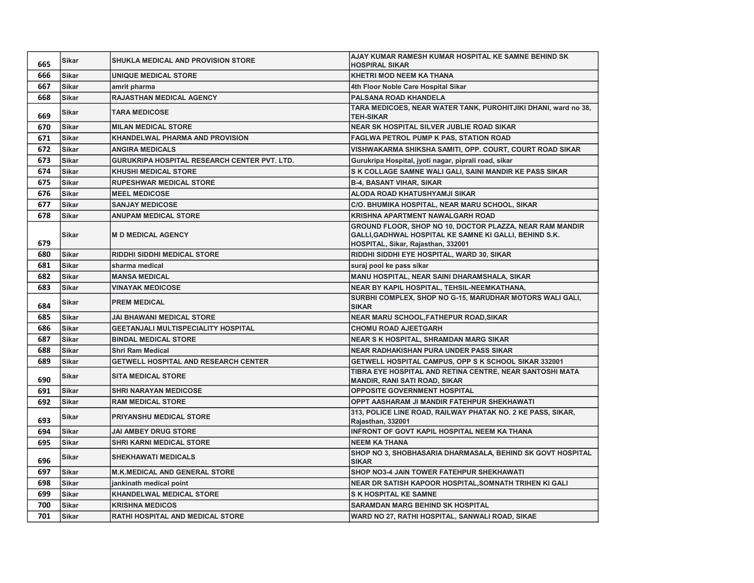| 665 | Sikar        | <b>SHUKLA MEDICAL AND PROVISION STORE</b>    | AJAY KUMAR RAMESH KUMAR HOSPITAL KE SAMNE BEHIND SK<br><b>HOSPIRAL SIKAR</b>                                                                             |
|-----|--------------|----------------------------------------------|----------------------------------------------------------------------------------------------------------------------------------------------------------|
| 666 | <b>Sikar</b> | <b>UNIQUE MEDICAL STORE</b>                  | <b>KHETRI MOD NEEM KA THANA</b>                                                                                                                          |
| 667 | <b>Sikar</b> | amrit pharma                                 | 4th Floor Noble Care Hospital Sikar                                                                                                                      |
| 668 | Sikar        | <b>RAJASTHAN MEDICAL AGENCY</b>              | PALSANA ROAD KHANDELA                                                                                                                                    |
| 669 | <b>Sikar</b> | <b>TARA MEDICOSE</b>                         | TARA MEDICOES, NEAR WATER TANK, PUROHITJIKI DHANI, ward no 38,<br><b>TEH-SIKAR</b>                                                                       |
| 670 | <b>Sikar</b> | <b>MILAN MEDICAL STORE</b>                   | NEAR SK HOSPITAL SILVER JUBLIE ROAD SIKAR                                                                                                                |
| 671 | <b>Sikar</b> | <b>KHANDELWAL PHARMA AND PROVISION</b>       | <b>FAGLWA PETROL PUMP K PAS, STATION ROAD</b>                                                                                                            |
| 672 | <b>Sikar</b> | <b>ANGIRA MEDICALS</b>                       | VISHWAKARMA SHIKSHA SAMITI, OPP. COURT, COURT ROAD SIKAR                                                                                                 |
| 673 | <b>Sikar</b> | GURUKRIPA HOSPITAL RESEARCH CENTER PVT. LTD. | Gurukripa Hospital, jyoti nagar, piprali road, sikar                                                                                                     |
| 674 | <b>Sikar</b> | <b>KHUSHI MEDICAL STORE</b>                  | S K COLLAGE SAMNE WALI GALI, SAINI MANDIR KE PASS SIKAR                                                                                                  |
| 675 | <b>Sikar</b> | <b>RUPESHWAR MEDICAL STORE</b>               | <b>B-4, BASANT VIHAR, SIKAR</b>                                                                                                                          |
| 676 | <b>Sikar</b> | <b>MEEL MEDICOSE</b>                         | ALODA ROAD KHATUSHYAMJI SIKAR                                                                                                                            |
| 677 | Sikar        | <b>SANJAY MEDICOSE</b>                       | C/O. BHUMIKA HOSPITAL, NEAR MARU SCHOOL, SIKAR                                                                                                           |
| 678 | <b>Sikar</b> | <b>ANUPAM MEDICAL STORE</b>                  | KRISHNA APARTMENT NAWALGARH ROAD                                                                                                                         |
| 679 | <b>Sikar</b> | <b>M D MEDICAL AGENCY</b>                    | GROUND FLOOR, SHOP NO 10, DOCTOR PLAZZA, NEAR RAM MANDIR<br>GALLI, GADHWAL HOSPITAL KE SAMNE KI GALLI, BEHIND S.K.<br>HOSPITAL, Sikar, Rajasthan, 332001 |
| 680 | <b>Sikar</b> | RIDDHI SIDDHI MEDICAL STORE                  | RIDDHI SIDDHI EYE HOSPITAL, WARD 30, SIKAR                                                                                                               |
| 681 | <b>Sikar</b> | sharma medical                               | suraj pool ke pass sikar                                                                                                                                 |
| 682 | <b>Sikar</b> | <b>MANSA MEDICAL</b>                         | <b>MANU HOSPITAL, NEAR SAINI DHARAMSHALA, SIKAR</b>                                                                                                      |
| 683 | <b>Sikar</b> | <b>VINAYAK MEDICOSE</b>                      | <b>NEAR BY KAPIL HOSPITAL, TEHSIL-NEEMKATHANA,</b>                                                                                                       |
| 684 | <b>Sikar</b> | <b>PREM MEDICAL</b>                          | SURBHI COMPLEX, SHOP NO G-15, MARUDHAR MOTORS WALI GALI,<br><b>SIKAR</b>                                                                                 |
| 685 | <b>Sikar</b> | <b>JAI BHAWANI MEDICAL STORE</b>             | <b>NEAR MARU SCHOOL, FATHEPUR ROAD, SIKAR</b>                                                                                                            |
| 686 | <b>Sikar</b> | <b>GEETANJALI MULTISPECIALITY HOSPITAL</b>   | <b>CHOMU ROAD AJEETGARH</b>                                                                                                                              |
| 687 | <b>Sikar</b> | <b>BINDAL MEDICAL STORE</b>                  | <b>NEAR S K HOSPITAL, SHRAMDAN MARG SIKAR</b>                                                                                                            |
| 688 | <b>Sikar</b> | <b>Shri Ram Medical</b>                      | <b>NEAR RADHAKISHAN PURA UNDER PASS SIKAR</b>                                                                                                            |
| 689 | <b>Sikar</b> | <b>GETWELL HOSPITAL AND RESEARCH CENTER</b>  | GETWELL HOSPITAL CAMPUS, OPP S K SCHOOL SIKAR 332001                                                                                                     |
| 690 | <b>Sikar</b> | <b>SITA MEDICAL STORE</b>                    | TIBRA EYE HOSPITAL AND RETINA CENTRE, NEAR SANTOSHI MATA<br>MANDIR, RANI SATI ROAD, SIKAR                                                                |
| 691 | <b>Sikar</b> | <b>SHRI NARAYAN MEDICOSE</b>                 | <b>OPPOSITE GOVERNMENT HOSPITAL</b>                                                                                                                      |
| 692 | <b>Sikar</b> | <b>RAM MEDICAL STORE</b>                     | OPPT AASHARAM JI MANDIR FATEHPUR SHEKHAWATI                                                                                                              |
| 693 | <b>Sikar</b> | <b>PRIYANSHU MEDICAL STORE</b>               | 313, POLICE LINE ROAD, RAILWAY PHATAK NO. 2 KE PASS, SIKAR,<br>Rajasthan, 332001                                                                         |
| 694 | <b>Sikar</b> | <b>JAI AMBEY DRUG STORE</b>                  | INFRONT OF GOVT KAPIL HOSPITAL NEEM KA THANA                                                                                                             |
| 695 | <b>Sikar</b> | <b>SHRI KARNI MEDICAL STORE</b>              | <b>NEEM KA THANA</b>                                                                                                                                     |
| 696 | <b>Sikar</b> | <b>SHEKHAWATI MEDICALS</b>                   | SHOP NO 3, SHOBHASARIA DHARMASALA, BEHIND SK GOVT HOSPITAL<br><b>SIKAR</b>                                                                               |
| 697 | <b>Sikar</b> | <b>M.K.MEDICAL AND GENERAL STORE</b>         | SHOP NO3-4 JAIN TOWER FATEHPUR SHEKHAWATI                                                                                                                |
| 698 | <b>Sikar</b> | jankinath medical point                      | NEAR DR SATISH KAPOOR HOSPITAL, SOMNATH TRIHEN KI GALI                                                                                                   |
| 699 | <b>Sikar</b> | <b>KHANDELWAL MEDICAL STORE</b>              | <b>S K HOSPITAL KE SAMNE</b>                                                                                                                             |
| 700 | <b>Sikar</b> | <b>KRISHNA MEDICOS</b>                       | SARAMDAN MARG BEHIND SK HOSPITAL                                                                                                                         |
| 701 | <b>Sikar</b> | RATHI HOSPITAL AND MEDICAL STORE             | WARD NO 27, RATHI HOSPITAL, SANWALI ROAD, SIKAE                                                                                                          |